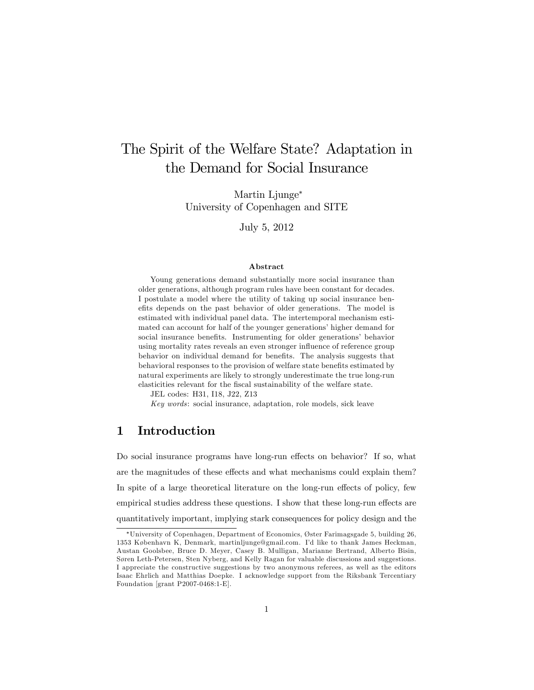# The Spirit of the Welfare State? Adaptation in the Demand for Social Insurance

Martin Ljunge University of Copenhagen and SITE

July 5, 2012

#### Abstract

Young generations demand substantially more social insurance than older generations, although program rules have been constant for decades. I postulate a model where the utility of taking up social insurance benefits depends on the past behavior of older generations. The model is estimated with individual panel data. The intertemporal mechanism estimated can account for half of the younger generations' higher demand for social insurance benefits. Instrumenting for older generations' behavior using mortality rates reveals an even stronger influence of reference group behavior on individual demand for benefits. The analysis suggests that behavioral responses to the provision of welfare state benefits estimated by natural experiments are likely to strongly underestimate the true long-run elasticities relevant for the fiscal sustainability of the welfare state.

JEL codes: H31, I18, J22, Z13

Key words: social insurance, adaptation, role models, sick leave

# 1 Introduction

Do social insurance programs have long-run effects on behavior? If so, what are the magnitudes of these effects and what mechanisms could explain them? In spite of a large theoretical literature on the long-run effects of policy, few empirical studies address these questions. I show that these long-run effects are quantitatively important, implying stark consequences for policy design and the

University of Copenhagen, Department of Economics, ÿster Farimagsgade 5, building 26, 1353 København K, Denmark, martinljunge@gmail.com. I'd like to thank James Heckman, Austan Goolsbee, Bruce D. Meyer, Casey B. Mulligan, Marianne Bertrand, Alberto Bisin, Søren Leth-Petersen, Sten Nyberg, and Kelly Ragan for valuable discussions and suggestions. I appreciate the constructive suggestions by two anonymous referees, as well as the editors Isaac Ehrlich and Matthias Doepke. I acknowledge support from the Riksbank Tercentiary Foundation [grant P2007-0468:1-E].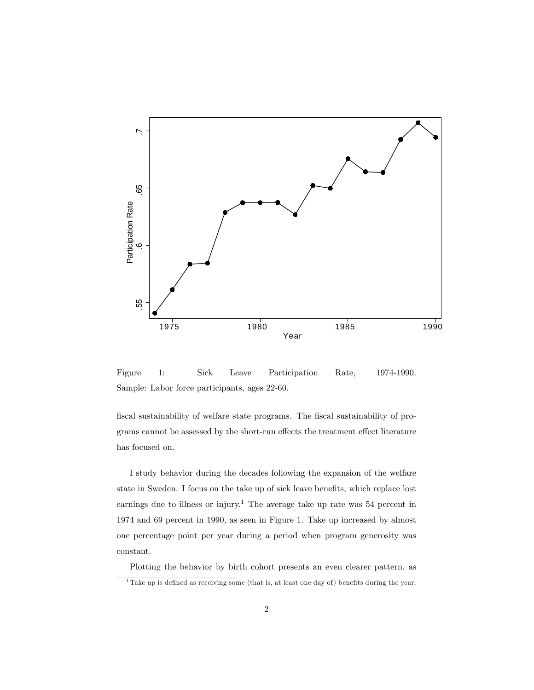

Figure 1: Sick Leave Participation Rate, 1974-1990. Sample: Labor force participants, ages 22-60.

fiscal sustainability of welfare state programs. The fiscal sustainability of programs cannot be assessed by the short-run effects the treatment effect literature has focused on.

I study behavior during the decades following the expansion of the welfare state in Sweden. I focus on the take up of sick leave benefits, which replace lost earnings due to illness or injury.<sup>1</sup> The average take up rate was  $54$  percent in 1974 and 69 percent in 1990, as seen in Figure 1. Take up increased by almost one percentage point per year during a period when program generosity was constant.

Plotting the behavior by birth cohort presents an even clearer pattern, as

 $\overline{1}$  Take up is defined as receiving some (that is, at least one day of) benefits during the year.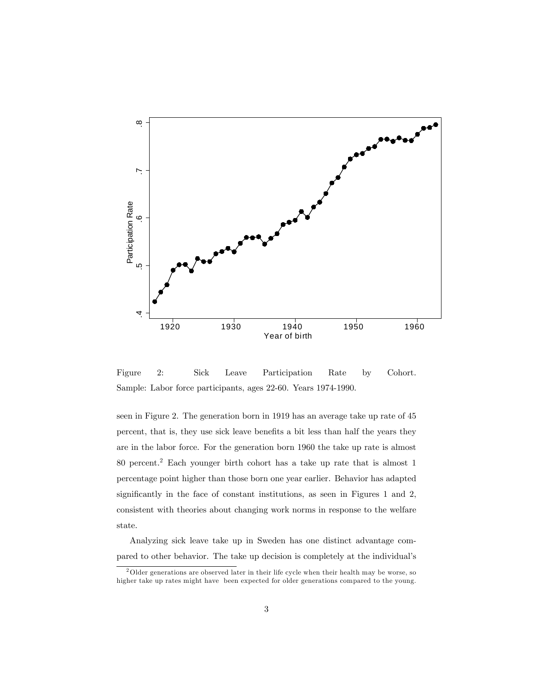

Figure 2: Sick Leave Participation Rate by Cohort. Sample: Labor force participants, ages 22-60. Years 1974-1990.

seen in Figure 2. The generation born in 1919 has an average take up rate of 45 percent, that is, they use sick leave benefits a bit less than half the years they are in the labor force. For the generation born 1960 the take up rate is almost 80 percent.<sup>2</sup> Each younger birth cohort has a take up rate that is almost 1 percentage point higher than those born one year earlier. Behavior has adapted significantly in the face of constant institutions, as seen in Figures 1 and 2, consistent with theories about changing work norms in response to the welfare state.

Analyzing sick leave take up in Sweden has one distinct advantage compared to other behavior. The take up decision is completely at the individual's

<sup>&</sup>lt;sup>2</sup>Older generations are observed later in their life cycle when their health may be worse, so higher take up rates might have been expected for older generations compared to the young.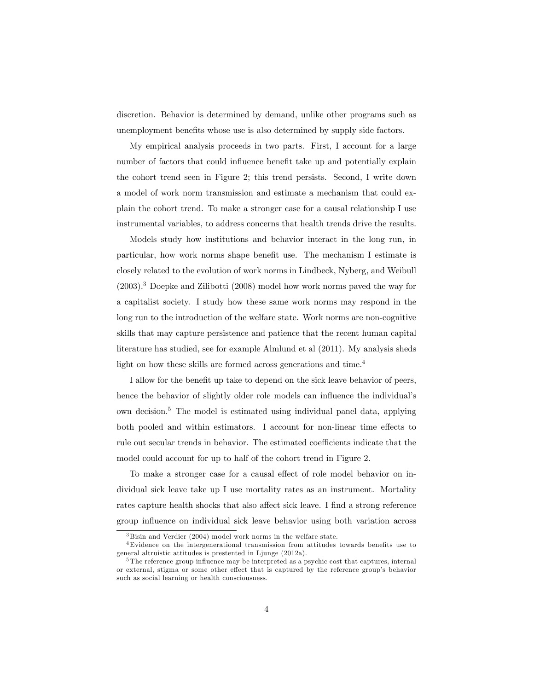discretion. Behavior is determined by demand, unlike other programs such as unemployment benefits whose use is also determined by supply side factors.

My empirical analysis proceeds in two parts. First, I account for a large number of factors that could influence benefit take up and potentially explain the cohort trend seen in Figure 2; this trend persists. Second, I write down a model of work norm transmission and estimate a mechanism that could explain the cohort trend. To make a stronger case for a causal relationship I use instrumental variables, to address concerns that health trends drive the results.

Models study how institutions and behavior interact in the long run, in particular, how work norms shape benefit use. The mechanism I estimate is closely related to the evolution of work norms in Lindbeck, Nyberg, and Weibull  $(2003).<sup>3</sup>$  Doepke and Zilibotti  $(2008)$  model how work norms paved the way for a capitalist society. I study how these same work norms may respond in the long run to the introduction of the welfare state. Work norms are non-cognitive skills that may capture persistence and patience that the recent human capital literature has studied, see for example Almlund et al (2011). My analysis sheds light on how these skills are formed across generations and time.<sup>4</sup>

I allow for the benefit up take to depend on the sick leave behavior of peers, hence the behavior of slightly older role models can influence the individual's own decision.<sup>5</sup> The model is estimated using individual panel data, applying both pooled and within estimators. I account for non-linear time effects to rule out secular trends in behavior. The estimated coefficients indicate that the model could account for up to half of the cohort trend in Figure 2.

To make a stronger case for a causal effect of role model behavior on individual sick leave take up I use mortality rates as an instrument. Mortality rates capture health shocks that also affect sick leave. I find a strong reference group ináuence on individual sick leave behavior using both variation across

<sup>3</sup> Bisin and Verdier (2004) model work norms in the welfare state.

<sup>&</sup>lt;sup>4</sup>Evidence on the intergenerational transmission from attitudes towards benefits use to general altruistic attitudes is prestented in Ljunge (2012a).

 $5$ The reference group influence may be interpreted as a psychic cost that captures, internal or external, stigma or some other effect that is captured by the reference group's behavior such as social learning or health consciousness.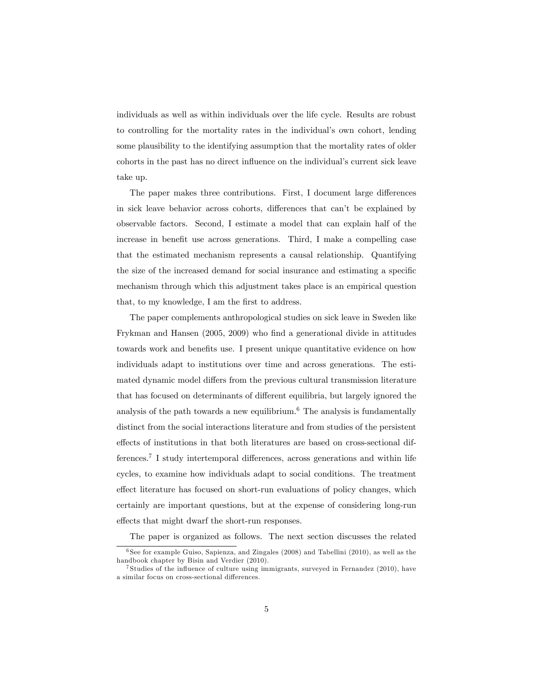individuals as well as within individuals over the life cycle. Results are robust to controlling for the mortality rates in the individual's own cohort, lending some plausibility to the identifying assumption that the mortality rates of older cohorts in the past has no direct influence on the individual's current sick leave take up.

The paper makes three contributions. First, I document large differences in sick leave behavior across cohorts, differences that can't be explained by observable factors. Second, I estimate a model that can explain half of the increase in benefit use across generations. Third, I make a compelling case that the estimated mechanism represents a causal relationship. Quantifying the size of the increased demand for social insurance and estimating a specific mechanism through which this adjustment takes place is an empirical question that, to my knowledge, I am the first to address.

The paper complements anthropological studies on sick leave in Sweden like Frykman and Hansen (2005, 2009) who find a generational divide in attitudes towards work and benefits use. I present unique quantitative evidence on how individuals adapt to institutions over time and across generations. The estimated dynamic model differs from the previous cultural transmission literature that has focused on determinants of different equilibria, but largely ignored the analysis of the path towards a new equilibrium.<sup>6</sup> The analysis is fundamentally distinct from the social interactions literature and from studies of the persistent effects of institutions in that both literatures are based on cross-sectional differences.<sup>7</sup> I study intertemporal differences, across generations and within life cycles, to examine how individuals adapt to social conditions. The treatment effect literature has focused on short-run evaluations of policy changes, which certainly are important questions, but at the expense of considering long-run effects that might dwarf the short-run responses.

The paper is organized as follows. The next section discusses the related

<sup>6</sup> See for example Guiso, Sapienza, and Zingales (2008) and Tabellini (2010), as well as the handbook chapter by Bisin and Verdier (2010).

<sup>&</sup>lt;sup>7</sup> Studies of the influence of culture using immigrants, surveyed in Fernandez (2010), have a similar focus on cross-sectional differences.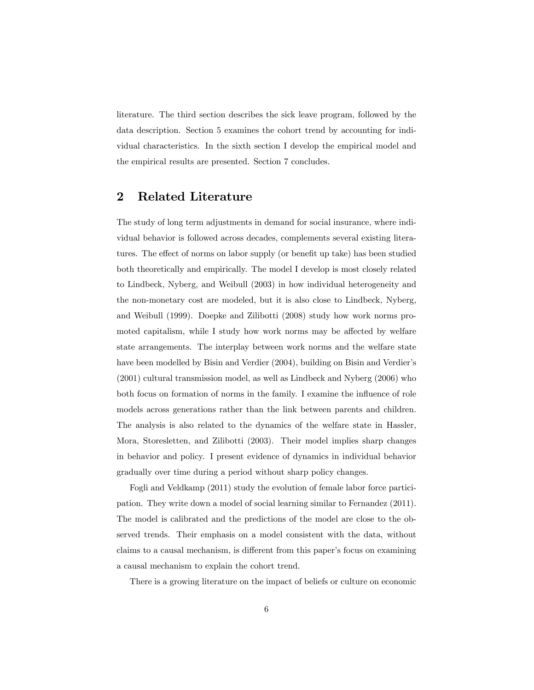literature. The third section describes the sick leave program, followed by the data description. Section 5 examines the cohort trend by accounting for individual characteristics. In the sixth section I develop the empirical model and the empirical results are presented. Section 7 concludes.

# 2 Related Literature

The study of long term adjustments in demand for social insurance, where individual behavior is followed across decades, complements several existing literatures. The effect of norms on labor supply (or benefit up take) has been studied both theoretically and empirically. The model I develop is most closely related to Lindbeck, Nyberg, and Weibull (2003) in how individual heterogeneity and the non-monetary cost are modeled, but it is also close to Lindbeck, Nyberg, and Weibull (1999). Doepke and Zilibotti (2008) study how work norms promoted capitalism, while I study how work norms may be affected by welfare state arrangements. The interplay between work norms and the welfare state have been modelled by Bisin and Verdier (2004), building on Bisin and Verdier's (2001) cultural transmission model, as well as Lindbeck and Nyberg (2006) who both focus on formation of norms in the family. I examine the influence of role models across generations rather than the link between parents and children. The analysis is also related to the dynamics of the welfare state in Hassler, Mora, Storesletten, and Zilibotti (2003). Their model implies sharp changes in behavior and policy. I present evidence of dynamics in individual behavior gradually over time during a period without sharp policy changes.

Fogli and Veldkamp (2011) study the evolution of female labor force participation. They write down a model of social learning similar to Fernandez (2011). The model is calibrated and the predictions of the model are close to the observed trends. Their emphasis on a model consistent with the data, without claims to a causal mechanism, is different from this paper's focus on examining a causal mechanism to explain the cohort trend.

There is a growing literature on the impact of beliefs or culture on economic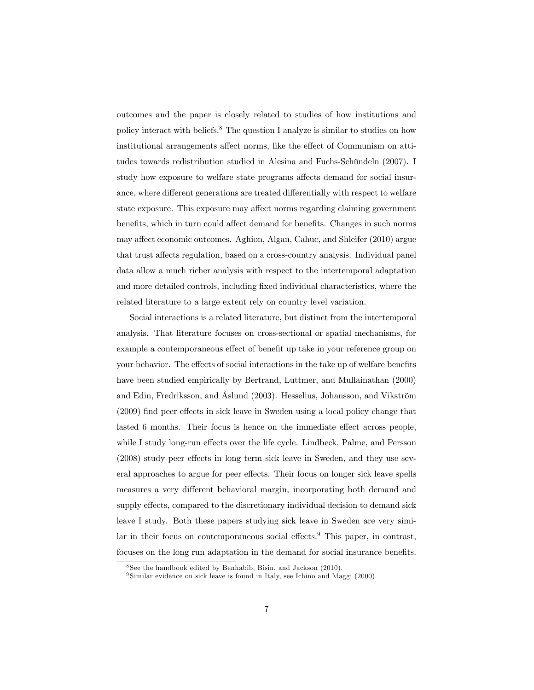outcomes and the paper is closely related to studies of how institutions and policy interact with beliefs.<sup>8</sup> The question I analyze is similar to studies on how institutional arrangements affect norms, like the effect of Communism on attitudes towards redistribution studied in Alesina and Fuchs-Schündeln (2007). I study how exposure to welfare state programs affects demand for social insurance, where different generations are treated differentially with respect to welfare state exposure. This exposure may affect norms regarding claiming government benefits, which in turn could affect demand for benefits. Changes in such norms may affect economic outcomes. Aghion, Algan, Cahuc, and Shleifer (2010) argue that trust affects regulation, based on a cross-country analysis. Individual panel data allow a much richer analysis with respect to the intertemporal adaptation and more detailed controls, including Öxed individual characteristics, where the related literature to a large extent rely on country level variation.

Social interactions is a related literature, but distinct from the intertemporal analysis. That literature focuses on cross-sectional or spatial mechanisms, for example a contemporaneous effect of benefit up take in your reference group on your behavior. The effects of social interactions in the take up of welfare benefits have been studied empirically by Bertrand, Luttmer, and Mullainathan (2000) and Edin, Fredriksson, and Åslund (2003). Hesselius, Johansson, and Vikström  $(2009)$  find peer effects in sick leave in Sweden using a local policy change that lasted 6 months. Their focus is hence on the immediate effect across people, while I study long-run effects over the life cycle. Lindbeck, Palme, and Persson  $(2008)$  study peer effects in long term sick leave in Sweden, and they use several approaches to argue for peer effects. Their focus on longer sick leave spells measures a very different behavioral margin, incorporating both demand and supply effects, compared to the discretionary individual decision to demand sick leave I study. Both these papers studying sick leave in Sweden are very similar in their focus on contemporaneous social effects. $9$  This paper, in contrast, focuses on the long run adaptation in the demand for social insurance benefits.

 $8$ See the handbook edited by Benhabib, Bisin, and Jackson  $(2010)$ .

<sup>&</sup>lt;sup>9</sup> Similar evidence on sick leave is found in Italy, see Ichino and Maggi (2000).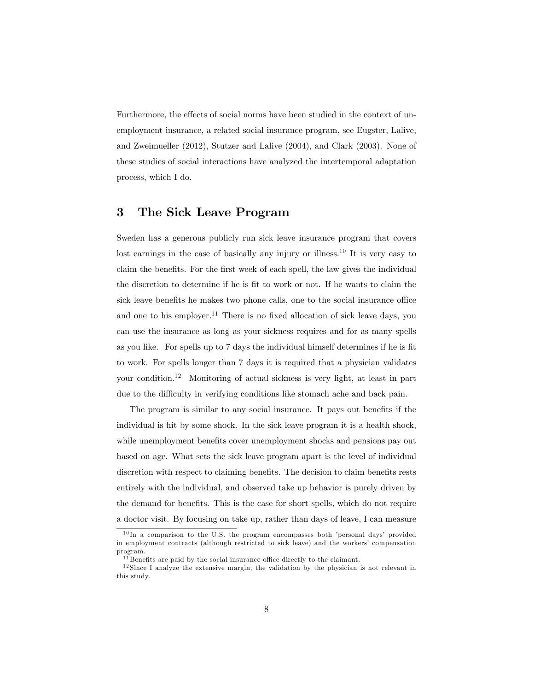Furthermore, the effects of social norms have been studied in the context of unemployment insurance, a related social insurance program, see Eugster, Lalive, and Zweimueller (2012), Stutzer and Lalive (2004), and Clark (2003). None of these studies of social interactions have analyzed the intertemporal adaptation process, which I do.

# 3 The Sick Leave Program

Sweden has a generous publicly run sick leave insurance program that covers lost earnings in the case of basically any injury or illness.<sup>10</sup> It is very easy to claim the benefits. For the first week of each spell, the law gives the individual the discretion to determine if he is Öt to work or not. If he wants to claim the sick leave benefits he makes two phone calls, one to the social insurance office and one to his employer.<sup>11</sup> There is no fixed allocation of sick leave days, you can use the insurance as long as your sickness requires and for as many spells as you like. For spells up to 7 days the individual himself determines if he is fit to work. For spells longer than 7 days it is required that a physician validates your condition.<sup>12</sup> Monitoring of actual sickness is very light, at least in part due to the difficulty in verifying conditions like stomach ache and back pain.

The program is similar to any social insurance. It pays out benefits if the individual is hit by some shock. In the sick leave program it is a health shock, while unemployment benefits cover unemployment shocks and pensions pay out based on age. What sets the sick leave program apart is the level of individual discretion with respect to claiming benefits. The decision to claim benefits rests entirely with the individual, and observed take up behavior is purely driven by the demand for benefits. This is the case for short spells, which do not require a doctor visit. By focusing on take up, rather than days of leave, I can measure

 $10 \text{ In a comparison to the U.S. the program encompasses both 'personal days' provided}$ in employment contracts (although restricted to sick leave) and the workers' compensation program.

 $11$  Benefits are paid by the social insurance office directly to the claimant.

<sup>12</sup> Since I analyze the extensive margin, the validation by the physician is not relevant in this study.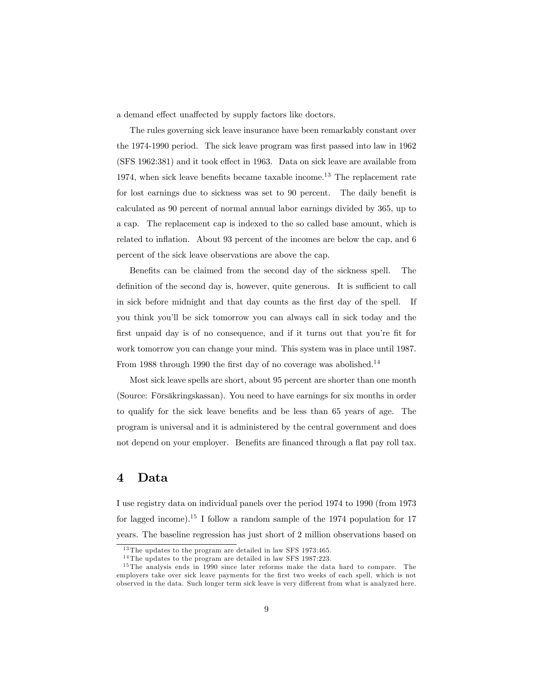a demand effect unaffected by supply factors like doctors.

The rules governing sick leave insurance have been remarkably constant over the 1974-1990 period. The sick leave program was first passed into law in 1962  $(SFS 1962:381)$  and it took effect in 1963. Data on sick leave are available from 1974, when sick leave benefits became taxable income.<sup>13</sup> The replacement rate for lost earnings due to sickness was set to 90 percent. The daily benefit is calculated as 90 percent of normal annual labor earnings divided by 365, up to a cap. The replacement cap is indexed to the so called base amount, which is related to inflation. About 93 percent of the incomes are below the cap, and 6 percent of the sick leave observations are above the cap.

Benefits can be claimed from the second day of the sickness spell. The definition of the second day is, however, quite generous. It is sufficient to call in sick before midnight and that day counts as the first day of the spell. If you think youíll be sick tomorrow you can always call in sick today and the first unpaid day is of no consequence, and if it turns out that you're fit for work tomorrow you can change your mind. This system was in place until 1987. From 1988 through 1990 the first day of no coverage was abolished.<sup>14</sup>

Most sick leave spells are short, about 95 percent are shorter than one month (Source: Fˆrs‰kringskassan). You need to have earnings for six months in order to qualify for the sick leave benefits and be less than 65 years of age. The program is universal and it is administered by the central government and does not depend on your employer. Benefits are financed through a flat pay roll tax.

# 4 Data

I use registry data on individual panels over the period 1974 to 1990 (from 1973 for lagged income).<sup>15</sup> I follow a random sample of the 1974 population for 17 years. The baseline regression has just short of 2 million observations based on

<sup>13</sup> The updates to the program are detailed in law SFS 1973:465.

<sup>14</sup> The updates to the program are detailed in law SFS 1987:223.

<sup>&</sup>lt;sup>15</sup> The analysis ends in 1990 since later reforms make the data hard to compare. The employers take over sick leave payments for the first two weeks of each spell, which is not observed in the data. Such longer term sick leave is very different from what is analyzed here.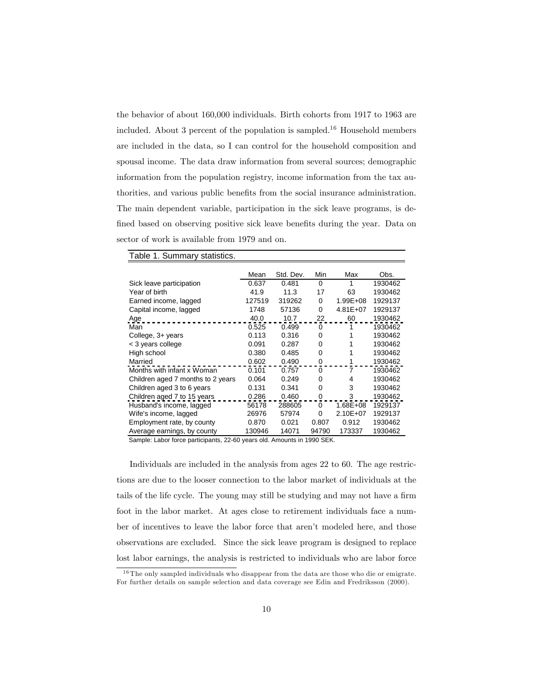the behavior of about 160,000 individuals. Birth cohorts from 1917 to 1963 are included. About 3 percent of the population is sampled.<sup>16</sup> Household members are included in the data, so I can control for the household composition and spousal income. The data draw information from several sources; demographic information from the population registry, income information from the tax authorities, and various public benefits from the social insurance administration. The main dependent variable, participation in the sick leave programs, is defined based on observing positive sick leave benefits during the year. Data on sector of work is available from 1979 and on.

| .                                 |        |           |       |              |         |
|-----------------------------------|--------|-----------|-------|--------------|---------|
|                                   | Mean   | Std. Dev. | Min   | Max          | Obs.    |
| Sick leave participation          | 0.637  | 0.481     | 0     | 1            | 1930462 |
| Year of birth                     | 41.9   | 11.3      | 17    | 63           | 1930462 |
| Earned income, lagged             | 127519 | 319262    | 0     | $1.99E + 08$ | 1929137 |
| Capital income, lagged            | 1748   | 57136     | 0     | $4.81E + 07$ | 1929137 |
| Age                               | 40.0   | 10.7      | 22    | 60           | 1930462 |
| Man                               | 0.525  | 0.499     | 0     | 1            | 1930462 |
| College, 3+ years                 | 0.113  | 0.316     | 0     | 1            | 1930462 |
| < 3 years college                 | 0.091  | 0.287     | 0     |              | 1930462 |
| High school                       | 0.380  | 0.485     | 0     |              | 1930462 |
| Married                           | 0.602  | 0.490     | 0     |              | 1930462 |
| Months with infant x Woman        | 0.101  | 0.757     | 0     | 7            | 1930462 |
| Children aged 7 months to 2 years | 0.064  | 0.249     | 0     | 4            | 1930462 |
| Children aged 3 to 6 years        | 0.131  | 0.341     | 0     | 3            | 1930462 |
| Children aged 7 to 15 years       | 0.286  | 0.460     | 0     | 3            | 1930462 |
| Husband's income, lagged          | 56178  | 288605    | 0     | $1.68E + 08$ | 1929137 |
| Wife's income, lagged             | 26976  | 57974     | 0     | 2.10E+07     | 1929137 |
| Employment rate, by county        | 0.870  | 0.021     | 0.807 | 0.912        | 1930462 |
| Average earnings, by county       | 130946 | 14071     | 94790 | 173337       | 1930462 |

Table 1. Summary statistics.

Sample: Labor force participants, 22-60 years old. Amounts in 1990 SEK.

Individuals are included in the analysis from ages 22 to 60. The age restrictions are due to the looser connection to the labor market of individuals at the tails of the life cycle. The young may still be studying and may not have a firm foot in the labor market. At ages close to retirement individuals face a number of incentives to leave the labor force that aren't modeled here, and those observations are excluded. Since the sick leave program is designed to replace lost labor earnings, the analysis is restricted to individuals who are labor force

<sup>16</sup> The only sampled individuals who disappear from the data are those who die or emigrate. For further details on sample selection and data coverage see Edin and Fredriksson (2000).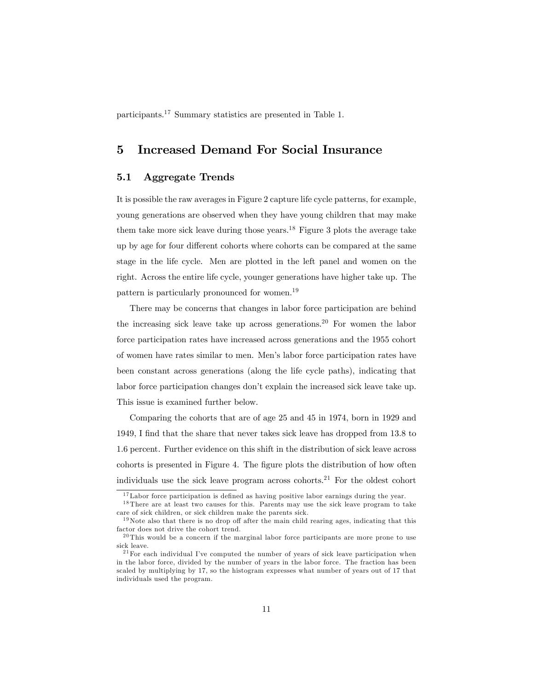participants.<sup>17</sup> Summary statistics are presented in Table 1.

# 5 Increased Demand For Social Insurance

### 5.1 Aggregate Trends

It is possible the raw averages in Figure 2 capture life cycle patterns, for example, young generations are observed when they have young children that may make them take more sick leave during those years.<sup>18</sup> Figure 3 plots the average take up by age for four different cohorts where cohorts can be compared at the same stage in the life cycle. Men are plotted in the left panel and women on the right. Across the entire life cycle, younger generations have higher take up. The pattern is particularly pronounced for women.<sup>19</sup>

There may be concerns that changes in labor force participation are behind the increasing sick leave take up across generations.<sup>20</sup> For women the labor force participation rates have increased across generations and the 1955 cohort of women have rates similar to men. Menís labor force participation rates have been constant across generations (along the life cycle paths), indicating that labor force participation changes don't explain the increased sick leave take up. This issue is examined further below.

Comparing the cohorts that are of age 25 and 45 in 1974, born in 1929 and 1949, I Önd that the share that never takes sick leave has dropped from 13.8 to 1.6 percent. Further evidence on this shift in the distribution of sick leave across cohorts is presented in Figure 4. The figure plots the distribution of how often individuals use the sick leave program across cohorts.<sup>21</sup> For the oldest cohort

 $17$ Labor force participation is defined as having positive labor earnings during the year.

<sup>18</sup> There are at least two causes for this. Parents may use the sick leave program to take care of sick children, or sick children make the parents sick.

 $19$ Note also that there is no drop off after the main child rearing ages, indicating that this factor does not drive the cohort trend.

<sup>20</sup> This would be a concern if the marginal labor force participants are more prone to use sick leave.

 $^{21}$  For each individual I've computed the number of years of sick leave participation when in the labor force, divided by the number of years in the labor force. The fraction has been scaled by multiplying by 17, so the histogram expresses what number of years out of 17 that individuals used the program.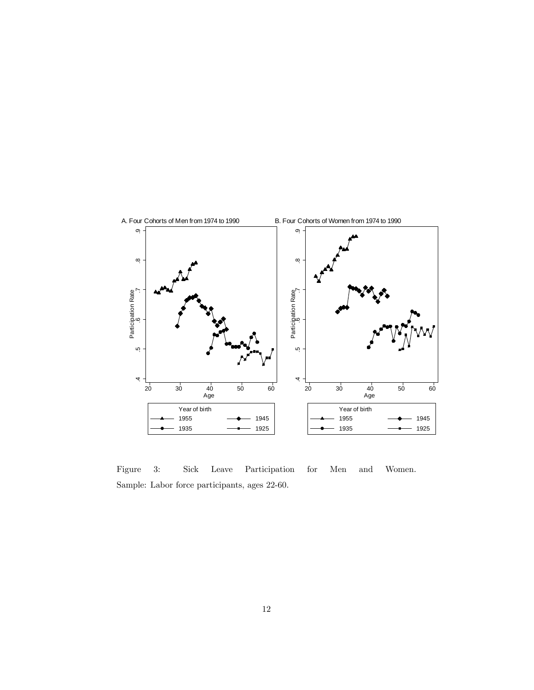

Figure 3: Sick Leave Participation for Men and Women. Sample: Labor force participants, ages 22-60.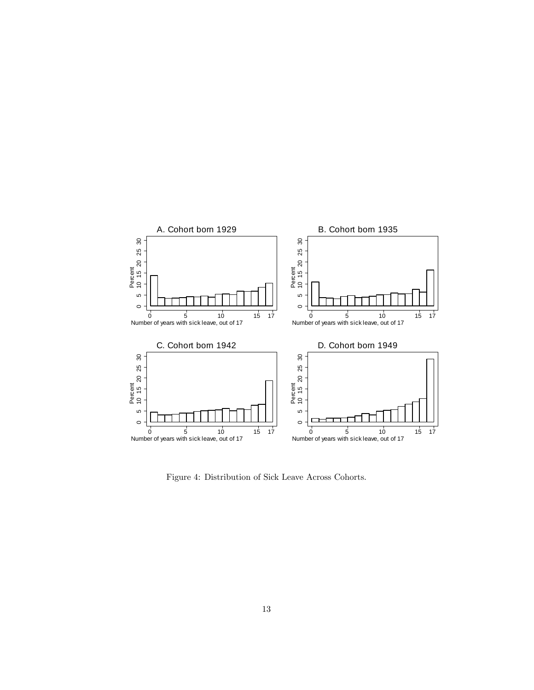

Figure 4: Distribution of Sick Leave Across Cohorts.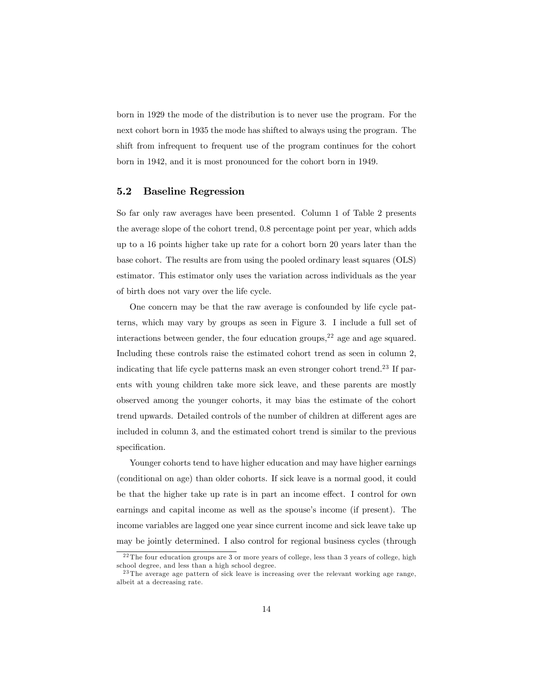born in 1929 the mode of the distribution is to never use the program. For the next cohort born in 1935 the mode has shifted to always using the program. The shift from infrequent to frequent use of the program continues for the cohort born in 1942, and it is most pronounced for the cohort born in 1949.

### 5.2 Baseline Regression

So far only raw averages have been presented. Column 1 of Table 2 presents the average slope of the cohort trend, 0.8 percentage point per year, which adds up to a 16 points higher take up rate for a cohort born 20 years later than the base cohort. The results are from using the pooled ordinary least squares (OLS) estimator. This estimator only uses the variation across individuals as the year of birth does not vary over the life cycle.

One concern may be that the raw average is confounded by life cycle patterns, which may vary by groups as seen in Figure 3. I include a full set of interactions between gender, the four education groups,  $2^2$  age and age squared. Including these controls raise the estimated cohort trend as seen in column 2, indicating that life cycle patterns mask an even stronger cohort trend.<sup>23</sup> If parents with young children take more sick leave, and these parents are mostly observed among the younger cohorts, it may bias the estimate of the cohort trend upwards. Detailed controls of the number of children at different ages are included in column 3, and the estimated cohort trend is similar to the previous specification.

Younger cohorts tend to have higher education and may have higher earnings (conditional on age) than older cohorts. If sick leave is a normal good, it could be that the higher take up rate is in part an income effect. I control for own earnings and capital income as well as the spouse's income (if present). The income variables are lagged one year since current income and sick leave take up may be jointly determined. I also control for regional business cycles (through

<sup>22</sup> The four education groups are 3 or more years of college, less than 3 years of college, high school degree, and less than a high school degree.

<sup>23</sup> The average age pattern of sick leave is increasing over the relevant working age range, albeit at a decreasing rate.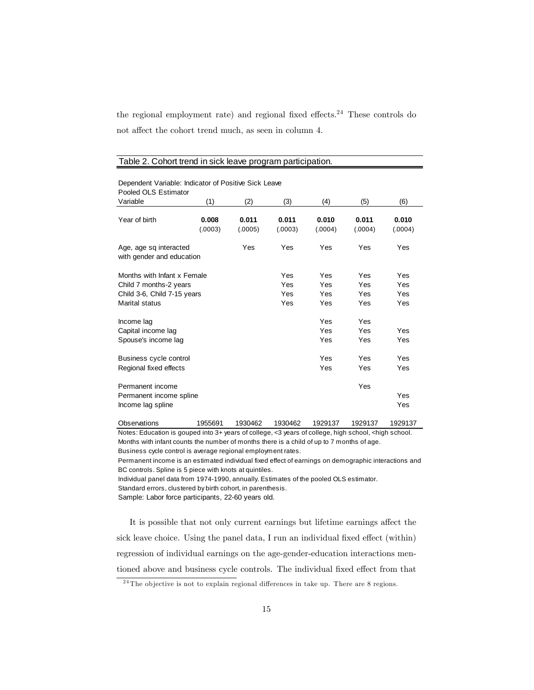the regional employment rate) and regional fixed effects.<sup>24</sup> These controls do not affect the cohort trend much, as seen in column 4.

| Dependent Variable: Indicator of Positive Sick Leave<br>Pooled OLS Estimator                           |                  |                  |                                 |                                        |                          |                          |  |  |
|--------------------------------------------------------------------------------------------------------|------------------|------------------|---------------------------------|----------------------------------------|--------------------------|--------------------------|--|--|
| Variable                                                                                               | (1)              | (2)              | (3)                             | (4)                                    | (5)                      | (6)                      |  |  |
| Year of birth                                                                                          | 0.008<br>(.0003) | 0.011<br>(.0005) | 0.011<br>(.0003)                | 0.010<br>(.0004)                       | 0.011<br>(.0004)         | 0.010<br>(.0004)         |  |  |
| Age, age sq interacted<br>with gender and education                                                    |                  | Yes              | Yes                             | Yes                                    | Yes                      | Yes                      |  |  |
| Months with Infant x Female<br>Child 7 months-2 years<br>Child 3-6, Child 7-15 years<br>Marital status |                  |                  | Yes<br><b>Yes</b><br>Yes<br>Yes | Yes<br><b>Yes</b><br><b>Yes</b><br>Yes | Yes<br>Yes<br>Yes<br>Yes | Yes<br>Yes<br>Yes<br>Yes |  |  |
| Income lag<br>Capital income lag<br>Spouse's income lag                                                |                  |                  |                                 | Yes<br>Yes<br>Yes                      | Yes<br>Yes<br>Yes        | Yes<br>Yes               |  |  |
| Business cycle control<br>Regional fixed effects                                                       |                  |                  |                                 | Yes<br>Yes                             | Yes<br>Yes               | Yes<br>Yes               |  |  |
| Permanent income<br>Permanent income spline<br>Income lag spline                                       |                  |                  |                                 |                                        | Yes                      | Yes<br>Yes               |  |  |

#### Table 2. Cohort trend in sick leave program participation.

Observations 1955691 1930462 1930462 1929137 1929137 1929137 Notes: Education is gouped into 3+ years of college, <3 years of college, high school, <high school. Months with infant counts the number of months there is a child of up to 7 months of age. Business cycle control is average regional employment rates.

Permanent income is an estimated individual fixed effect of earnings on demographic interactions and BC controls. Spline is 5 piece with knots at quintiles.

Individual panel data from 1974-1990, annually. Es tim ates of the pooled OLS es tim ator.

Standard errors, clustered by birth cohort, in parenthesis.

Sample: Labor force participants, 22-60 years old.

It is possible that not only current earnings but lifetime earnings affect the sick leave choice. Using the panel data, I run an individual fixed effect (within) regression of individual earnings on the age-gender-education interactions mentioned above and business cycle controls. The individual fixed effect from that

 $^{24}$ The objective is not to explain regional differences in take up. There are 8 regions.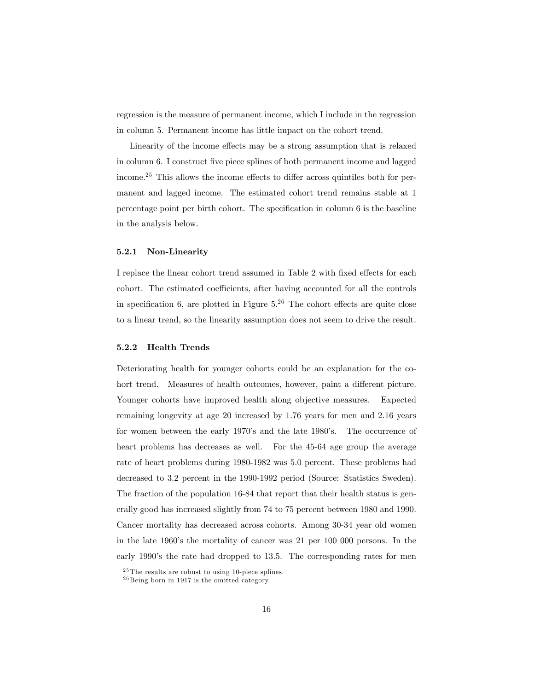regression is the measure of permanent income, which I include in the regression in column 5. Permanent income has little impact on the cohort trend.

Linearity of the income effects may be a strong assumption that is relaxed in column 6. I construct five piece splines of both permanent income and lagged income.<sup>25</sup> This allows the income effects to differ across quintiles both for permanent and lagged income. The estimated cohort trend remains stable at 1 percentage point per birth cohort. The specification in column 6 is the baseline in the analysis below.

#### 5.2.1 Non-Linearity

I replace the linear cohort trend assumed in Table 2 with fixed effects for each cohort. The estimated coefficients, after having accounted for all the controls in specification 6, are plotted in Figure  $5.^{26}$  The cohort effects are quite close to a linear trend, so the linearity assumption does not seem to drive the result.

#### 5.2.2 Health Trends

Deteriorating health for younger cohorts could be an explanation for the cohort trend. Measures of health outcomes, however, paint a different picture. Younger cohorts have improved health along objective measures. Expected remaining longevity at age 20 increased by 1.76 years for men and 2.16 years for women between the early 1970's and the late 1980's. The occurrence of heart problems has decreases as well. For the 45-64 age group the average rate of heart problems during 1980-1982 was 5.0 percent. These problems had decreased to 3.2 percent in the 1990-1992 period (Source: Statistics Sweden). The fraction of the population 16-84 that report that their health status is generally good has increased slightly from 74 to 75 percent between 1980 and 1990. Cancer mortality has decreased across cohorts. Among 30-34 year old women in the late 1960's the mortality of cancer was 21 per 100 000 persons. In the early 1990's the rate had dropped to 13.5. The corresponding rates for men

<sup>25</sup> The results are robust to using 10-piece splines.

<sup>26</sup> Being born in 1917 is the omitted category.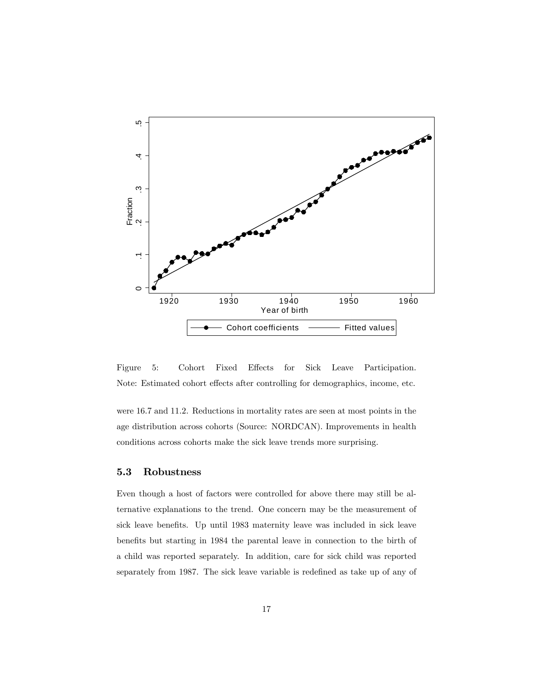

Figure 5: Cohort Fixed Effects for Sick Leave Participation. Note: Estimated cohort effects after controlling for demographics, income, etc.

were 16.7 and 11.2. Reductions in mortality rates are seen at most points in the age distribution across cohorts (Source: NORDCAN). Improvements in health conditions across cohorts make the sick leave trends more surprising.

### 5.3 Robustness

Even though a host of factors were controlled for above there may still be alternative explanations to the trend. One concern may be the measurement of sick leave benefits. Up until 1983 maternity leave was included in sick leave benefits but starting in 1984 the parental leave in connection to the birth of a child was reported separately. In addition, care for sick child was reported separately from 1987. The sick leave variable is redefined as take up of any of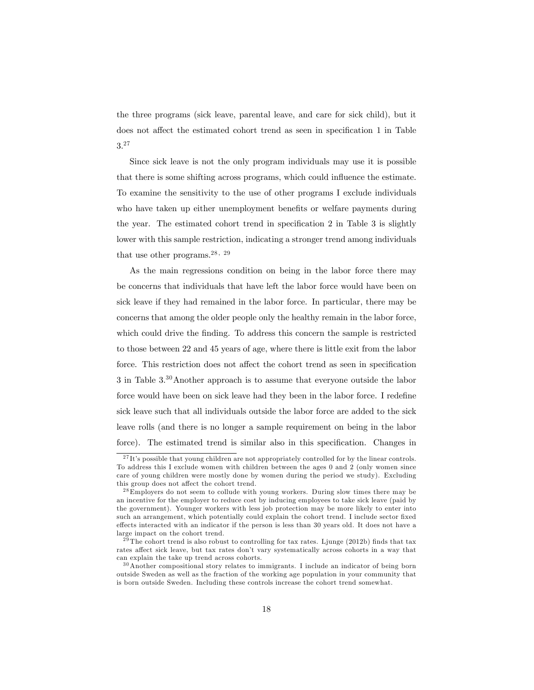the three programs (sick leave, parental leave, and care for sick child), but it does not affect the estimated cohort trend as seen in specification 1 in Table 3.<sup>27</sup>

Since sick leave is not the only program individuals may use it is possible that there is some shifting across programs, which could influence the estimate. To examine the sensitivity to the use of other programs I exclude individuals who have taken up either unemployment benefits or welfare payments during the year. The estimated cohort trend in specification  $2$  in Table  $3$  is slightly lower with this sample restriction, indicating a stronger trend among individuals that use other programs.<sup>28, 29</sup>

As the main regressions condition on being in the labor force there may be concerns that individuals that have left the labor force would have been on sick leave if they had remained in the labor force. In particular, there may be concerns that among the older people only the healthy remain in the labor force, which could drive the finding. To address this concern the sample is restricted to those between 22 and 45 years of age, where there is little exit from the labor force. This restriction does not affect the cohort trend as seen in specification 3 in Table 3.<sup>30</sup>Another approach is to assume that everyone outside the labor force would have been on sick leave had they been in the labor force. I redefine sick leave such that all individuals outside the labor force are added to the sick leave rolls (and there is no longer a sample requirement on being in the labor force). The estimated trend is similar also in this specification. Changes in

 $27$ It's possible that young children are not appropriately controlled for by the linear controls. To address this I exclude women with children between the ages 0 and 2 (only women since care of young children were mostly done by women during the period we study). Excluding this group does not affect the cohort trend.

<sup>&</sup>lt;sup>28</sup>Employers do not seem to collude with young workers. During slow times there may be an incentive for the employer to reduce cost by inducing employees to take sick leave (paid by the government). Younger workers with less job protection may be more likely to enter into such an arrangement, which potentially could explain the cohort trend. I include sector fixed effects interacted with an indicator if the person is less than 30 years old. It does not have a large impact on the cohort trend.

 $2\overline{9}$  The cohort trend is also robust to controlling for tax rates. Ljunge (2012b) finds that tax rates affect sick leave, but tax rates don't vary systematically across cohorts in a way that can explain the take up trend across cohorts.

<sup>30</sup>Another compositional story relates to immigrants. I include an indicator of being born outside Sweden as well as the fraction of the working age population in your community that is born outside Sweden. Including these controls increase the cohort trend somewhat.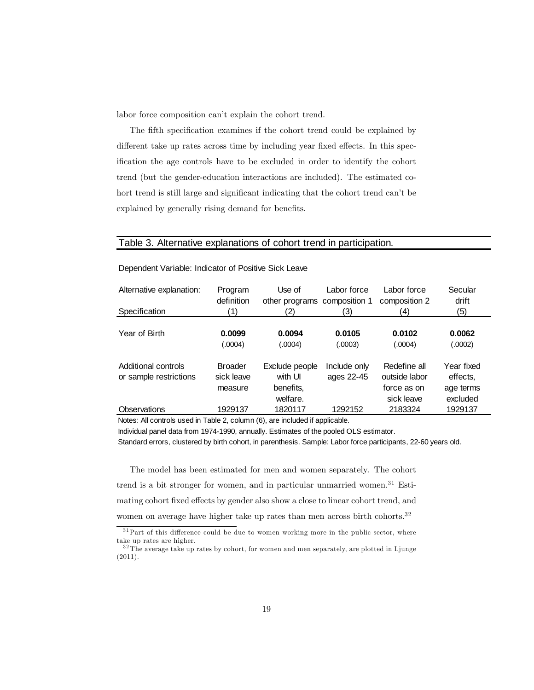labor force composition can't explain the cohort trend.

The fifth specification examines if the cohort trend could be explained by different take up rates across time by including year fixed effects. In this specification the age controls have to be excluded in order to identify the cohort trend (but the gender-education interactions are included). The estimated cohort trend is still large and significant indicating that the cohort trend can't be explained by generally rising demand for benefits.

### Table 3. Alternative explanations of cohort trend in participation.

| Alternative explanation:<br>Specification | Program<br>definition<br>(1) | Use of<br>other programs composition 1<br>(2) | Labor force<br>3) | Labor force<br>composition 2<br>(4) | Secular<br>drift<br>(5) |
|-------------------------------------------|------------------------------|-----------------------------------------------|-------------------|-------------------------------------|-------------------------|
|                                           |                              |                                               |                   |                                     |                         |
| Year of Birth                             | 0.0099                       | 0.0094                                        | 0.0105            | 0.0102                              | 0.0062                  |
|                                           | (.0004)                      | (.0004)                                       | (.0003)           | (.0004)                             | (.0002)                 |
|                                           |                              |                                               |                   |                                     |                         |
| Additional controls                       | <b>Broader</b>               | Exclude people                                | Include only      | Redefine all                        | Year fixed              |
| or sample restrictions                    | sick leave                   | with UI                                       | ages 22-45        | outside labor                       | effects.                |
|                                           | measure                      | benefits,                                     |                   | force as on                         | age terms               |
|                                           |                              | welfare.                                      |                   | sick leave                          | excluded                |
| Observations                              | 1929137                      | 1820117                                       | 1292152           | 2183324                             | 1929137                 |

Dependent Variable: Indicator of Positive Sick Leave

Notes: All controls used in Table 2, column (6), are included if applicable.

Individual panel data from 1974-1990, annually. Estimates of the pooled OLS estimator.

Standard errors, clustered by birth cohort, in parenthesis. Sample: Labor force participants, 22-60 years old.

The model has been estimated for men and women separately. The cohort trend is a bit stronger for women, and in particular unmarried women.<sup>31</sup> Estimating cohort fixed effects by gender also show a close to linear cohort trend, and women on average have higher take up rates than men across birth cohorts.<sup>32</sup>

 $31$ Part of this difference could be due to women working more in the public sector, where take up rates are higher.

 $32$  The average take up rates by cohort, for women and men separately, are plotted in Ljunge (2011).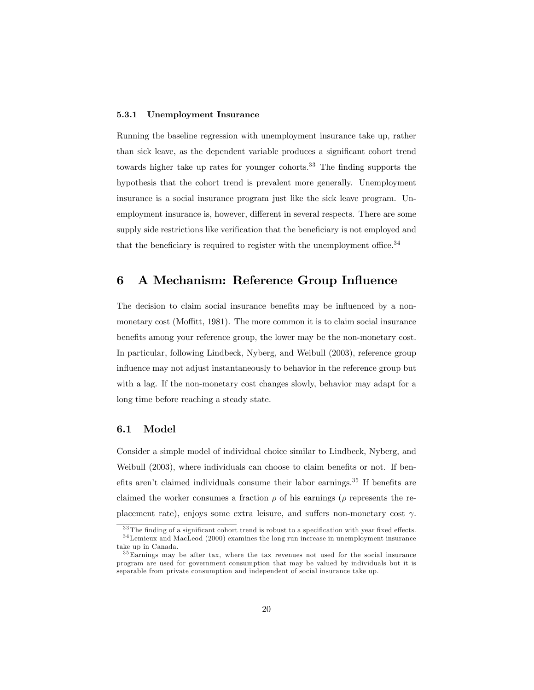#### 5.3.1 Unemployment Insurance

Running the baseline regression with unemployment insurance take up, rather than sick leave, as the dependent variable produces a significant cohort trend towards higher take up rates for younger cohorts. $33$  The finding supports the hypothesis that the cohort trend is prevalent more generally. Unemployment insurance is a social insurance program just like the sick leave program. Unemployment insurance is, however, different in several respects. There are some supply side restrictions like verification that the beneficiary is not employed and that the beneficiary is required to register with the unemployment office.<sup>34</sup>

# 6 A Mechanism: Reference Group Influence

The decision to claim social insurance benefits may be influenced by a nonmonetary cost (Moffitt, 1981). The more common it is to claim social insurance benefits among your reference group, the lower may be the non-monetary cost. In particular, following Lindbeck, Nyberg, and Weibull (2003), reference group influence may not adjust instantaneously to behavior in the reference group but with a lag. If the non-monetary cost changes slowly, behavior may adapt for a long time before reaching a steady state.

#### 6.1 Model

Consider a simple model of individual choice similar to Lindbeck, Nyberg, and Weibull  $(2003)$ , where individuals can choose to claim benefits or not. If benefits aren't claimed individuals consume their labor earnings.<sup>35</sup> If benefits are claimed the worker consumes a fraction  $\rho$  of his earnings ( $\rho$  represents the replacement rate), enjoys some extra leisure, and suffers non-monetary cost  $\gamma$ .

 $^{33}\mathrm{The}$  finding of a significant cohort trend is robust to a specification with year fixed effects. <sup>34</sup>Lemieux and MacLeod (2000) examines the long run increase in unemployment insurance take up in Canada.

<sup>&</sup>lt;sup>35</sup>Earnings may be after tax, where the tax revenues not used for the social insurance program are used for government consumption that may be valued by individuals but it is separable from private consumption and independent of social insurance take up.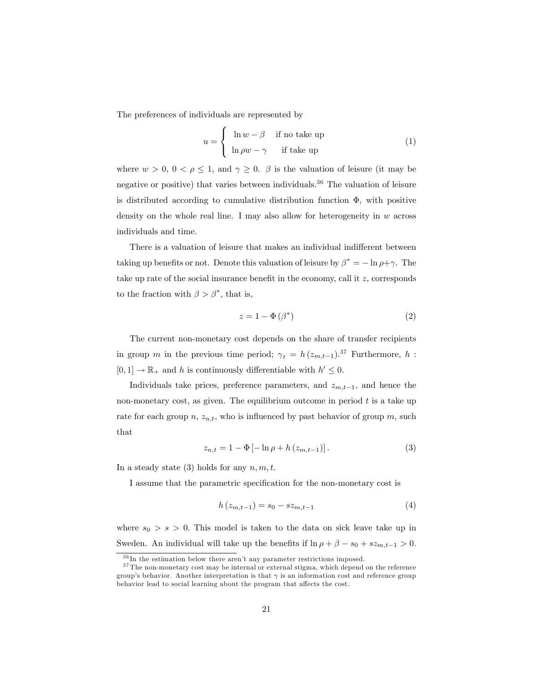The preferences of individuals are represented by

$$
u = \begin{cases} \ln w - \beta & \text{if no take up} \\ \ln \rho w - \gamma & \text{if take up} \end{cases}
$$
 (1)

where  $w > 0$ ,  $0 < \rho \le 1$ , and  $\gamma \ge 0$ .  $\beta$  is the valuation of leisure (it may be negative or positive) that varies between individuals.<sup>36</sup> The valuation of leisure is distributed according to cumulative distribution function  $\Phi$ , with positive density on the whole real line. I may also allow for heterogeneity in  $w$  across individuals and time.

There is a valuation of leisure that makes an individual indifferent between taking up benefits or not. Denote this valuation of leisure by  $\beta^* = -\ln \rho + \gamma$ . The take up rate of the social insurance benefit in the economy, call it  $z$ , corresponds to the fraction with  $\beta > \beta^*$ , that is,

$$
z = 1 - \Phi(\beta^*)
$$
 (2)

The current non-monetary cost depends on the share of transfer recipients in group m in the previous time period;  $\gamma_t = h(z_{m,t-1})^{37}$  Furthermore, h:  $[0,1] \to \mathbb{R}_+$  and h is continuously differentiable with  $h' \leq 0$ .

Individuals take prices, preference parameters, and  $z_{m,t-1}$ , and hence the non-monetary cost, as given. The equilibrium outcome in period  $t$  is a take up rate for each group n,  $z_{n,t}$ , who is influenced by past behavior of group m, such that

$$
z_{n,t} = 1 - \Phi \left[ -\ln \rho + h \left( z_{m,t-1} \right) \right]. \tag{3}
$$

In a steady state (3) holds for any  $n, m, t$ .

I assume that the parametric specification for the non-monetary cost is

$$
h(z_{m,t-1}) = s_0 - sz_{m,t-1}
$$
\n(4)

where  $s_0 > s > 0$ . This model is taken to the data on sick leave take up in Sweden. An individual will take up the benefits if  $\ln \rho + \beta - s_0 + sz_{m,t-1} > 0$ .

 $36$  In the estimation below there aren't any parameter restrictions imposed.

<sup>37</sup> The non-monetary cost may be internal or external stigma, which depend on the reference group's behavior. Another interpretation is that  $\gamma$  is an information cost and reference group behavior lead to social learning about the program that affects the cost.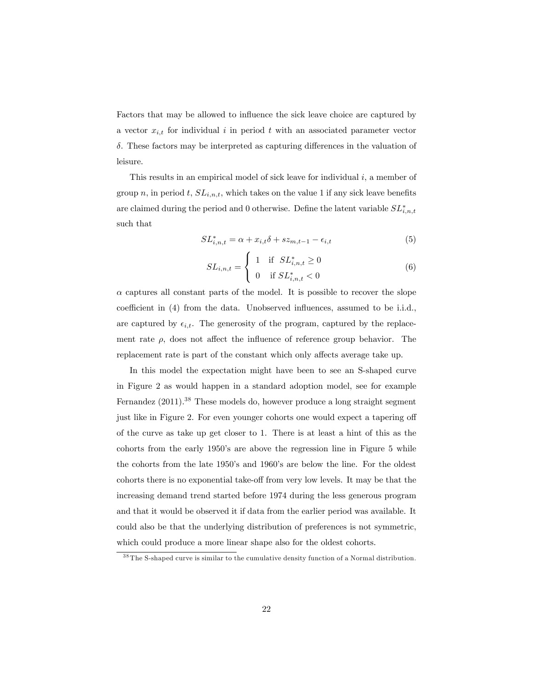Factors that may be allowed to influence the sick leave choice are captured by a vector  $x_{i,t}$  for individual i in period t with an associated parameter vector  $\delta$ . These factors may be interpreted as capturing differences in the valuation of leisure.

This results in an empirical model of sick leave for individual  $i$ , a member of group n, in period t,  $SL_{i,n,t}$ , which takes on the value 1 if any sick leave benefits are claimed during the period and 0 otherwise. Define the latent variable  $SL_{i,n,t}^*$ such that

$$
SL_{i,n,t}^* = \alpha + x_{i,t}\delta + sz_{m,t-1} - \epsilon_{i,t}
$$
\n<sup>(5)</sup>

$$
SL_{i,n,t} = \begin{cases} 1 & \text{if } SL_{i,n,t}^* \ge 0 \\ 0 & \text{if } SL_{i,n,t}^* < 0 \end{cases}
$$
 (6)

 $\alpha$  captures all constant parts of the model. It is possible to recover the slope coefficient in  $(4)$  from the data. Unobserved influences, assumed to be i.i.d., are captured by  $\epsilon_{i,t}$ . The generosity of the program, captured by the replacement rate  $\rho$ , does not affect the influence of reference group behavior. The replacement rate is part of the constant which only affects average take up.

In this model the expectation might have been to see an S-shaped curve in Figure 2 as would happen in a standard adoption model, see for example Fernandez (2011).<sup>38</sup> These models do, however produce a long straight segment just like in Figure 2. For even younger cohorts one would expect a tapering off of the curve as take up get closer to 1. There is at least a hint of this as the cohorts from the early 1950ís are above the regression line in Figure 5 while the cohorts from the late 1950's and 1960's are below the line. For the oldest cohorts there is no exponential take-off from very low levels. It may be that the increasing demand trend started before 1974 during the less generous program and that it would be observed it if data from the earlier period was available. It could also be that the underlying distribution of preferences is not symmetric, which could produce a more linear shape also for the oldest cohorts.

<sup>38</sup> The S-shaped curve is similar to the cumulative density function of a Normal distribution.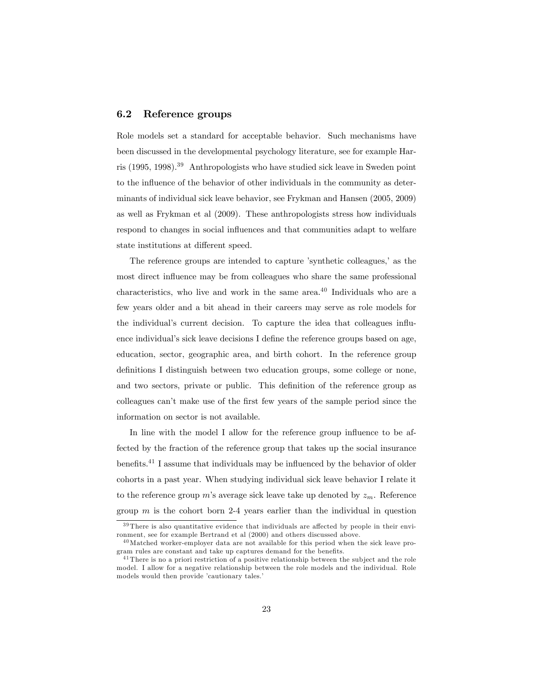### 6.2 Reference groups

Role models set a standard for acceptable behavior. Such mechanisms have been discussed in the developmental psychology literature, see for example Harris (1995, 1998).<sup>39</sup> Anthropologists who have studied sick leave in Sweden point to the influence of the behavior of other individuals in the community as determinants of individual sick leave behavior, see Frykman and Hansen (2005, 2009) as well as Frykman et al (2009). These anthropologists stress how individuals respond to changes in social influences and that communities adapt to welfare state institutions at different speed.

The reference groups are intended to capture 'synthetic colleagues,' as the most direct influence may be from colleagues who share the same professional characteristics, who live and work in the same area. $^{40}$  Individuals who are a few years older and a bit ahead in their careers may serve as role models for the individual's current decision. To capture the idea that colleagues influence individual's sick leave decisions I define the reference groups based on age, education, sector, geographic area, and birth cohort. In the reference group definitions I distinguish between two education groups, some college or none, and two sectors, private or public. This definition of the reference group as colleagues can't make use of the first few years of the sample period since the information on sector is not available.

In line with the model I allow for the reference group influence to be affected by the fraction of the reference group that takes up the social insurance benefits.<sup>41</sup> I assume that individuals may be influenced by the behavior of older cohorts in a past year. When studying individual sick leave behavior I relate it to the reference group m's average sick leave take up denoted by  $z_m$ . Reference group  $m$  is the cohort born 2-4 years earlier than the individual in question

 $39$  There is also quantitative evidence that individuals are affected by people in their environment, see for example Bertrand et al (2000) and others discussed above.

<sup>40</sup>Matched worker-employer data are not available for this period when the sick leave program rules are constant and take up captures demand for the benefits.

 $41$  There is no a priori restriction of a positive relationship between the subject and the role model. I allow for a negative relationship between the role models and the individual. Role models would then provide 'cautionary tales.'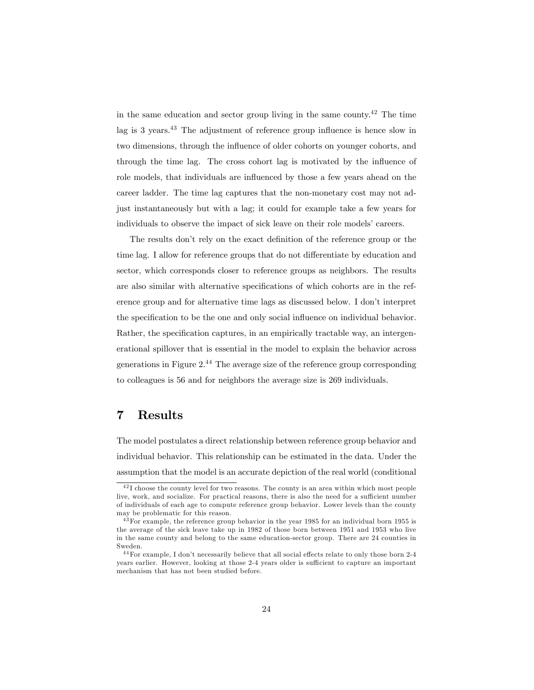in the same education and sector group living in the same county.<sup>42</sup> The time lag is  $3$  years.<sup>43</sup> The adjustment of reference group influence is hence slow in two dimensions, through the influence of older cohorts on younger cohorts, and through the time lag. The cross cohort lag is motivated by the influence of role models, that individuals are influenced by those a few years ahead on the career ladder. The time lag captures that the non-monetary cost may not adjust instantaneously but with a lag; it could for example take a few years for individuals to observe the impact of sick leave on their role models' careers.

The results don't rely on the exact definition of the reference group or the time lag. I allow for reference groups that do not differentiate by education and sector, which corresponds closer to reference groups as neighbors. The results are also similar with alternative specifications of which cohorts are in the reference group and for alternative time lags as discussed below. I don't interpret the specification to be the one and only social influence on individual behavior. Rather, the specification captures, in an empirically tractable way, an intergenerational spillover that is essential in the model to explain the behavior across generations in Figure  $2^{44}$  The average size of the reference group corresponding to colleagues is 56 and for neighbors the average size is 269 individuals.

# 7 Results

The model postulates a direct relationship between reference group behavior and individual behavior. This relationship can be estimated in the data. Under the assumption that the model is an accurate depiction of the real world (conditional

<sup>42</sup> I choose the county level for two reasons. The county is an area within which most people live, work, and socialize. For practical reasons, there is also the need for a sufficient number of individuals of each age to compute reference group behavior. Lower levels than the county may be problematic for this reason.

<sup>43</sup>For example, the reference group behavior in the year 1985 for an individual born 1955 is the average of the sick leave take up in 1982 of those born between 1951 and 1953 who live in the same county and belong to the same education-sector group. There are 24 counties in Sweden.

 $44$  For example, I don't necessarily believe that all social effects relate to only those born 2-4 years earlier. However, looking at those 2-4 years older is sufficient to capture an important mechanism that has not been studied before.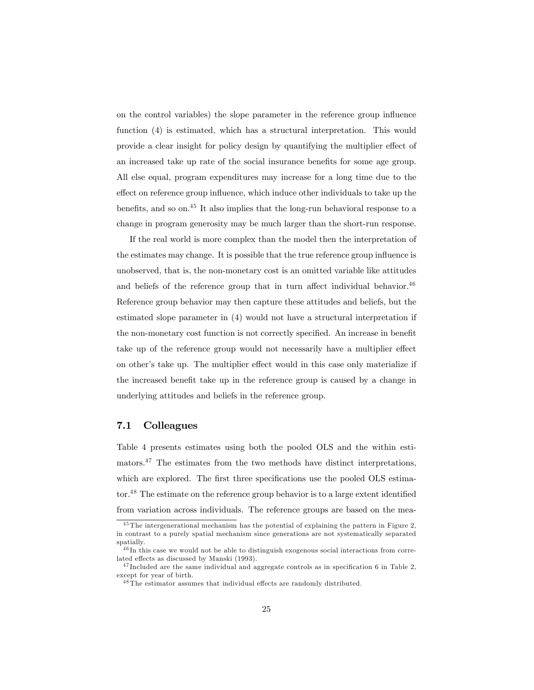on the control variables) the slope parameter in the reference group influence function (4) is estimated, which has a structural interpretation. This would provide a clear insight for policy design by quantifying the multiplier effect of an increased take up rate of the social insurance benefits for some age group. All else equal, program expenditures may increase for a long time due to the effect on reference group influence, which induce other individuals to take up the benefits, and so on.<sup>45</sup> It also implies that the long-run behavioral response to a change in program generosity may be much larger than the short-run response.

If the real world is more complex than the model then the interpretation of the estimates may change. It is possible that the true reference group influence is unobserved, that is, the non-monetary cost is an omitted variable like attitudes and beliefs of the reference group that in turn affect individual behavior.<sup>46</sup> Reference group behavior may then capture these attitudes and beliefs, but the estimated slope parameter in (4) would not have a structural interpretation if the non-monetary cost function is not correctly specified. An increase in benefit take up of the reference group would not necessarily have a multiplier effect on other's take up. The multiplier effect would in this case only materialize if the increased benefit take up in the reference group is caused by a change in underlying attitudes and beliefs in the reference group.

### 7.1 Colleagues

Table 4 presents estimates using both the pooled OLS and the within estimators.<sup>47</sup> The estimates from the two methods have distinct interpretations, which are explored. The first three specifications use the pooled OLS estimator. $48$  The estimate on the reference group behavior is to a large extent identified from variation across individuals. The reference groups are based on the mea-

<sup>45</sup> The intergenerational mechanism has the potential of explaining the pattern in Figure 2, in contrast to a purely spatial mechanism since generations are not systematically separated spatially.

<sup>46</sup> In this case we would not be able to distinguish exogenous social interactions from correlated effects as discussed by Manski (1993).

 $47$  Included are the same individual and aggregate controls as in specification 6 in Table 2, except for year of birth.

 $^{48}{\rm The\;estimator}$  assumes that individual effects are randomly distributed.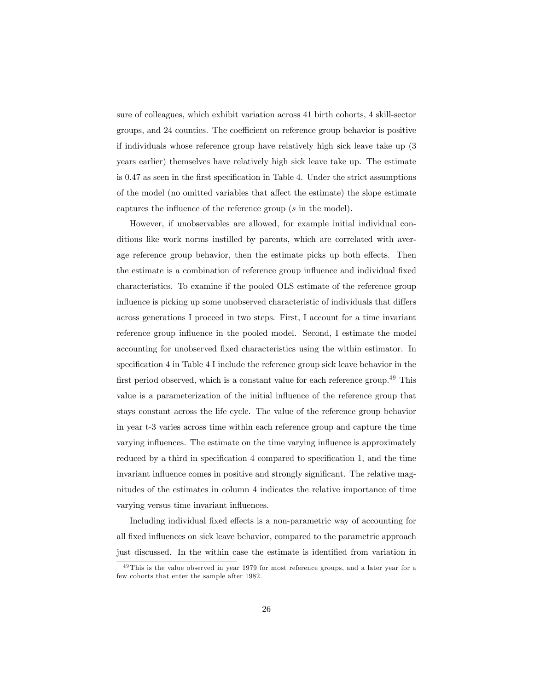sure of colleagues, which exhibit variation across 41 birth cohorts, 4 skill-sector groups, and 24 counties. The coefficient on reference group behavior is positive if individuals whose reference group have relatively high sick leave take up (3 years earlier) themselves have relatively high sick leave take up. The estimate is 0.47 as seen in the first specification in Table 4. Under the strict assumptions of the model (no omitted variables that affect the estimate) the slope estimate captures the influence of the reference group  $(s \text{ in the model}).$ 

However, if unobservables are allowed, for example initial individual conditions like work norms instilled by parents, which are correlated with average reference group behavior, then the estimate picks up both effects. Then the estimate is a combination of reference group influence and individual fixed characteristics. To examine if the pooled OLS estimate of the reference group influence is picking up some unobserved characteristic of individuals that differs across generations I proceed in two steps. First, I account for a time invariant reference group influence in the pooled model. Second, I estimate the model accounting for unobserved fixed characteristics using the within estimator. In specification  $4$  in Table  $4$  I include the reference group sick leave behavior in the first period observed, which is a constant value for each reference group.<sup>49</sup> This value is a parameterization of the initial influence of the reference group that stays constant across the life cycle. The value of the reference group behavior in year t-3 varies across time within each reference group and capture the time varying influences. The estimate on the time varying influence is approximately reduced by a third in specification 4 compared to specification 1, and the time invariant influence comes in positive and strongly significant. The relative magnitudes of the estimates in column 4 indicates the relative importance of time varying versus time invariant influences.

Including individual fixed effects is a non-parametric way of accounting for all fixed influences on sick leave behavior, compared to the parametric approach just discussed. In the within case the estimate is identified from variation in

<sup>&</sup>lt;sup>49</sup> This is the value observed in year 1979 for most reference groups, and a later year for a few cohorts that enter the sample after 1982.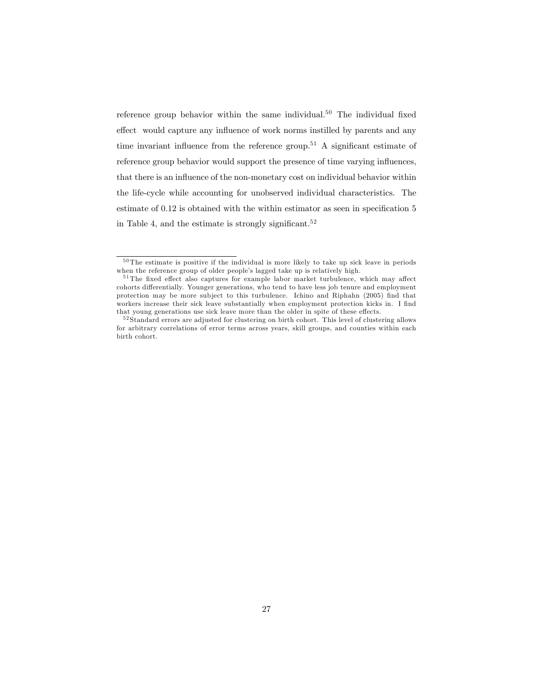reference group behavior within the same individual.<sup>50</sup> The individual fixed effect would capture any influence of work norms instilled by parents and any time invariant influence from the reference group.<sup>51</sup> A significant estimate of reference group behavior would support the presence of time varying influences, that there is an influence of the non-monetary cost on individual behavior within the life-cycle while accounting for unobserved individual characteristics. The estimate of  $0.12$  is obtained with the within estimator as seen in specification  $5$ in Table 4, and the estimate is strongly significant.<sup>52</sup>

<sup>50</sup> The estimate is positive if the individual is more likely to take up sick leave in periods when the reference group of older people's lagged take up is relatively high.

 $51$  The fixed effect also captures for example labor market turbulence, which may affect cohorts differentially. Younger generations, who tend to have less job tenure and employment protection may be more subject to this turbulence. Ichino and Riphahn (2005) find that workers increase their sick leave substantially when employment protection kicks in. I find that young generations use sick leave more than the older in spite of these effects.

 $52$  Standard errors are adjusted for clustering on birth cohort. This level of clustering allows for arbitrary correlations of error terms across years, skill groups, and counties within each birth cohort.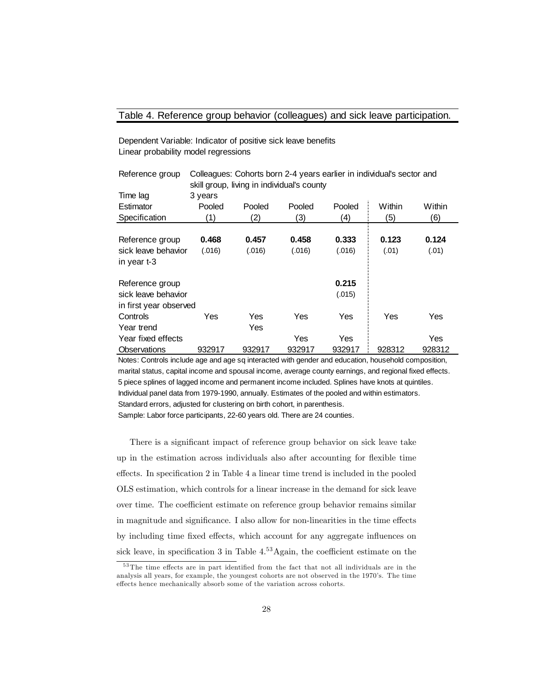### Table 4. Reference group behavior (colleagues) and sick leave participation.

Reference group Colleagues: Cohorts born 2-4 years earlier in individual's sector and

Dependent Variable: Indicator of positive sick leave benefits Linear probability model regressions

| Reference group<br>Colleagues. Conorts born 2-4 years earlier in individuals sector and |         |                   |                                            |        |        |            |
|-----------------------------------------------------------------------------------------|---------|-------------------|--------------------------------------------|--------|--------|------------|
|                                                                                         |         |                   | skill group, living in individual's county |        |        |            |
| Time lag                                                                                | 3 years |                   |                                            |        |        |            |
| Estimator                                                                               | Pooled  | Pooled            | Pooled                                     | Pooled | Within | Within     |
| Specification                                                                           | (1)     | $\left( 2\right)$ | (3)                                        | (4)    | (5)    | (6)        |
|                                                                                         |         |                   |                                            |        |        |            |
| Reference group                                                                         | 0.468   | 0.457             | 0.458                                      | 0.333  | 0.123  | 0.124      |
| sick leave behavior                                                                     | (.016)  | (.016)            | (.016)                                     | (.016) | (.01)  | (.01)      |
| in year t-3                                                                             |         |                   |                                            |        |        |            |
| Reference group                                                                         |         |                   |                                            | 0.215  |        |            |
| sick leave behavior                                                                     |         |                   |                                            | (.015) |        |            |
| in first year observed                                                                  |         |                   |                                            |        |        |            |
| Controls                                                                                | Yes     | Yes               | Yes                                        | Yes    | Yes    | <b>Yes</b> |
| Year trend                                                                              |         | Yes               |                                            |        |        |            |
| Year fixed effects                                                                      |         |                   | Yes                                        | Yes    |        | <b>Yes</b> |
| Observations                                                                            | 932917  | 932917            | 932917                                     | 932917 | 928312 | 928312     |

Notes: Controls include age and age sq interacted with gender and education, household composition, marital status, capital income and spousal income, average county earnings, and regional fixed effects. 5 piece splines of lagged income and permanent income included. Splines have knots at quintiles. Individual panel data from 1979-1990, annually. Estimates of the pooled and within estimators. Standard errors, adjusted for clustering on birth cohort, in parenthesis.

Sample: Labor force participants, 22-60 years old. There are 24 counties.

There is a significant impact of reference group behavior on sick leave take up in the estimation across individuals also after accounting for áexible time effects. In specification 2 in Table 4 a linear time trend is included in the pooled OLS estimation, which controls for a linear increase in the demand for sick leave over time. The coefficient estimate on reference group behavior remains similar in magnitude and significance. I also allow for non-linearities in the time effects by including time fixed effects, which account for any aggregate influences on sick leave, in specification 3 in Table  $4<sup>53</sup>$  Again, the coefficient estimate on the

 $53$  The time effects are in part identified from the fact that not all individuals are in the analysis all years, for example, the youngest cohorts are not observed in the 1970's. The time effects hence mechanically absorb some of the variation across cohorts.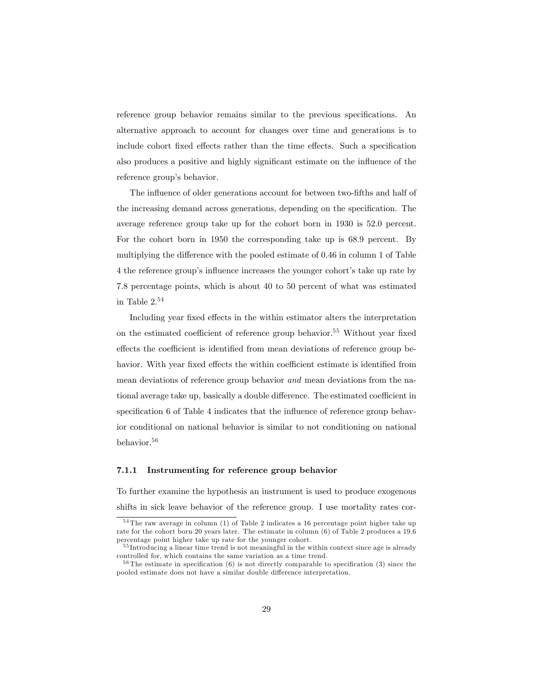reference group behavior remains similar to the previous specifications. An alternative approach to account for changes over time and generations is to include cohort fixed effects rather than the time effects. Such a specification also produces a positive and highly significant estimate on the influence of the reference group's behavior.

The influence of older generations account for between two-fifths and half of the increasing demand across generations, depending on the specification. The average reference group take up for the cohort born in 1930 is 52.0 percent. For the cohort born in 1950 the corresponding take up is 68.9 percent. By multiplying the difference with the pooled estimate of  $0.46$  in column 1 of Table 4 the reference group's influence increases the younger cohort's take up rate by 7.8 percentage points, which is about 40 to 50 percent of what was estimated in Table  $2.54$ 

Including year fixed effects in the within estimator alters the interpretation on the estimated coefficient of reference group behavior.<sup>55</sup> Without year fixed effects the coefficient is identified from mean deviations of reference group behavior. With year fixed effects the within coefficient estimate is identified from mean deviations of reference group behavior and mean deviations from the national average take up, basically a double difference. The estimated coefficient in specification 6 of Table 4 indicates that the influence of reference group behavior conditional on national behavior is similar to not conditioning on national behavior.<sup>56</sup>

#### 7.1.1 Instrumenting for reference group behavior

To further examine the hypothesis an instrument is used to produce exogenous shifts in sick leave behavior of the reference group. I use mortality rates cor-

<sup>54</sup> The raw average in column (1) of Table 2 indicates a 16 percentage point higher take up rate for the cohort born 20 years later. The estimate in column (6) of Table 2 produces a 19.6 percentage point higher take up rate for the younger cohort.

<sup>&</sup>lt;sup>55</sup> Introducing a linear time trend is not meaningful in the within context since age is already controlled for, which contains the same variation as a time trend.

 $56$  The estimate in specification (6) is not directly comparable to specification (3) since the pooled estimate does not have a similar double difference interpretation.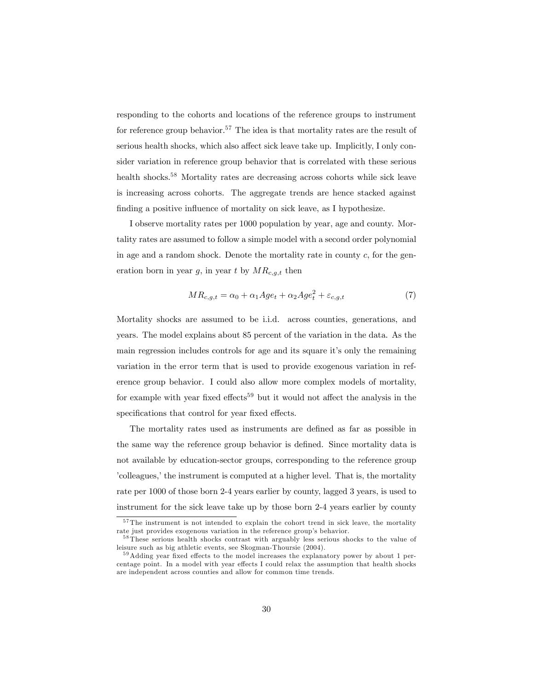responding to the cohorts and locations of the reference groups to instrument for reference group behavior.<sup>57</sup> The idea is that mortality rates are the result of serious health shocks, which also affect sick leave take up. Implicitly, I only consider variation in reference group behavior that is correlated with these serious health shocks.<sup>58</sup> Mortality rates are decreasing across cohorts while sick leave is increasing across cohorts. The aggregate trends are hence stacked against finding a positive influence of mortality on sick leave, as I hypothesize.

I observe mortality rates per 1000 population by year, age and county. Mortality rates are assumed to follow a simple model with a second order polynomial in age and a random shock. Denote the mortality rate in county  $c$ , for the generation born in year g, in year t by  $MR_{c,q,t}$  then

$$
MR_{c,g,t} = \alpha_0 + \alpha_1 Age_t + \alpha_2 Age_t^2 + \varepsilon_{c,g,t}
$$
\n<sup>(7)</sup>

Mortality shocks are assumed to be i.i.d. across counties, generations, and years. The model explains about 85 percent of the variation in the data. As the main regression includes controls for age and its square itís only the remaining variation in the error term that is used to provide exogenous variation in reference group behavior. I could also allow more complex models of mortality, for example with year fixed effects<sup>59</sup> but it would not affect the analysis in the specifications that control for year fixed effects.

The mortality rates used as instruments are defined as far as possible in the same way the reference group behavior is defined. Since mortality data is not available by education-sector groups, corresponding to the reference group icolleagues, the instrument is computed at a higher level. That is, the mortality rate per 1000 of those born 2-4 years earlier by county, lagged 3 years, is used to instrument for the sick leave take up by those born 2-4 years earlier by county

<sup>&</sup>lt;sup>57</sup> The instrument is not intended to explain the cohort trend in sick leave, the mortality rate just provides exogenous variation in the reference group's behavior.

<sup>&</sup>lt;sup>58</sup> These serious health shocks contrast with arguably less serious shocks to the value of leisure such as big athletic events, see Skogman-Thoursie (2004).

 $59$ Adding year fixed effects to the model increases the explanatory power by about 1 percentage point. In a model with year effects I could relax the assumption that health shocks are independent across counties and allow for common time trends.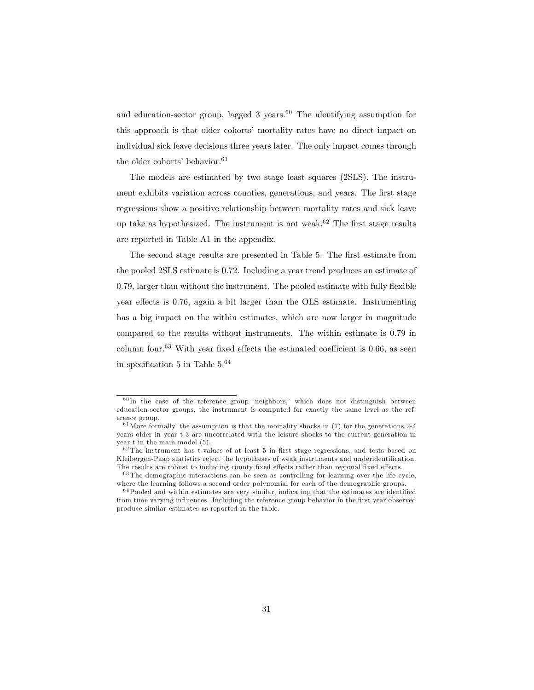and education-sector group, lagged  $3$  years.<sup>60</sup> The identifying assumption for this approach is that older cohorts' mortality rates have no direct impact on individual sick leave decisions three years later. The only impact comes through the older cohorts' behavior.<sup>61</sup>

The models are estimated by two stage least squares (2SLS). The instrument exhibits variation across counties, generations, and years. The first stage regressions show a positive relationship between mortality rates and sick leave up take as hypothesized. The instrument is not weak.<sup>62</sup> The first stage results are reported in Table A1 in the appendix.

The second stage results are presented in Table 5. The first estimate from the pooled 2SLS estimate is 0.72. Including a year trend produces an estimate of 0.79, larger than without the instrument. The pooled estimate with fully flexible year effects is 0.76, again a bit larger than the OLS estimate. Instrumenting has a big impact on the within estimates, which are now larger in magnitude compared to the results without instruments. The within estimate is 0.79 in column four.<sup>63</sup> With year fixed effects the estimated coefficient is 0.66, as seen in specification 5 in Table  $5^{64}$ 

 $60$  In the case of the reference group 'neighbors,' which does not distinguish between education-sector groups, the instrument is computed for exactly the same level as the reference group.

 $61$  More formally, the assumption is that the mortality shocks in (7) for the generations 2-4 years older in year t-3 are uncorrelated with the leisure shocks to the current generation in year t in the main model (5).

 $62$  The instrument has t-values of at least 5 in first stage regressions, and tests based on Kleibergen-Paap statistics reject the hypotheses of weak instruments and underidentification. The results are robust to including county fixed effects rather than regional fixed effects.

 $63$  The demographic interactions can be seen as controlling for learning over the life cycle, where the learning follows a second order polynomial for each of the demographic groups.

 $64$ Pooled and within estimates are very similar, indicating that the estimates are identified from time varying influences. Including the reference group behavior in the first year observed produce similar estimates as reported in the table.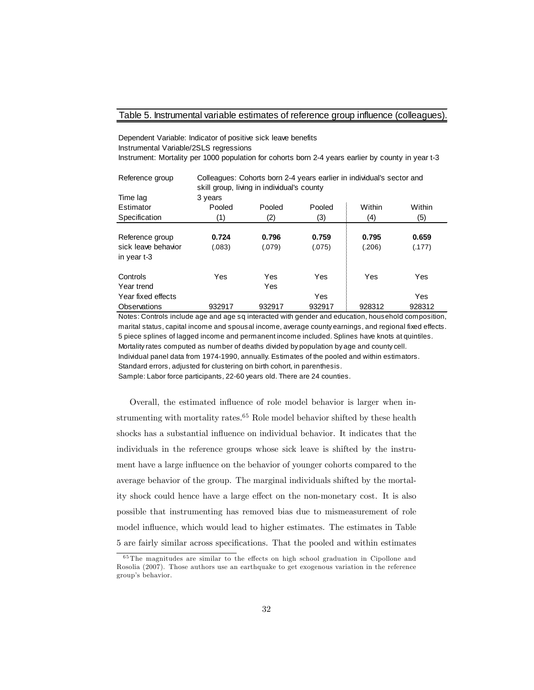#### Table 5. Instrumental variable estimates of reference group influence (colleagues).

Dependent Variable: Indicator of positive sick leave benefits Instrumental Variable/2SLS regressions Instrument: Mortality per 1000 population for cohorts born 2-4 years earlier by county in year t-3

| Reference group     | Colleagues: Cohorts born 2-4 years earlier in individual's sector and<br>skill group, living in individual's county |        |        |        |        |  |  |
|---------------------|---------------------------------------------------------------------------------------------------------------------|--------|--------|--------|--------|--|--|
| Time lag            | 3 years                                                                                                             |        |        |        |        |  |  |
| Estimator           | Pooled                                                                                                              | Pooled | Pooled | Within | Within |  |  |
| Specification       | (1)                                                                                                                 | (2)    | (3)    | (4)    | (5)    |  |  |
|                     |                                                                                                                     |        |        |        |        |  |  |
| Reference group     | 0.724                                                                                                               | 0.796  | 0.759  | 0.795  | 0.659  |  |  |
| sick leave behavior | (.083)                                                                                                              | (.079) | (.075) | (.206) | (.177) |  |  |
| in year t-3         |                                                                                                                     |        |        |        |        |  |  |
| Controls            | Yes                                                                                                                 | Yes    | Yes    | Yes    | Yes    |  |  |
| Year trend          |                                                                                                                     | Yes    |        |        |        |  |  |
| Year fixed effects  |                                                                                                                     |        | Yes    |        | Yes    |  |  |
| Observations        | 932917                                                                                                              | 932917 | 932917 | 928312 | 928312 |  |  |

Notes: Controls include age and age sq interacted with gender and education, household composition, marital status, capital income and spousal income, average county earnings, and regional fixed effects. 5 piece splines of lagged income and permanent income included. Splines have knots at quintiles. Mortality rates computed as number of deaths divided by population by age and county cell. Individual panel data from 1974-1990, annually. Es tim ates of the pooled and within es tim ators .

Standard errors, adjusted for clustering on birth cohort, in parenthesis.

Sample: Labor force participants, 22-60 years old. There are 24 counties.

Overall, the estimated influence of role model behavior is larger when instrumenting with mortality rates. $65$  Role model behavior shifted by these health shocks has a substantial influence on individual behavior. It indicates that the individuals in the reference groups whose sick leave is shifted by the instrument have a large influence on the behavior of younger cohorts compared to the average behavior of the group. The marginal individuals shifted by the mortality shock could hence have a large effect on the non-monetary cost. It is also possible that instrumenting has removed bias due to mismeasurement of role model influence, which would lead to higher estimates. The estimates in Table 5 are fairly similar across specifications. That the pooled and within estimates

 $65$  The magnitudes are similar to the effects on high school graduation in Cipollone and Rosolia (2007). Those authors use an earthquake to get exogenous variation in the reference group's behavior.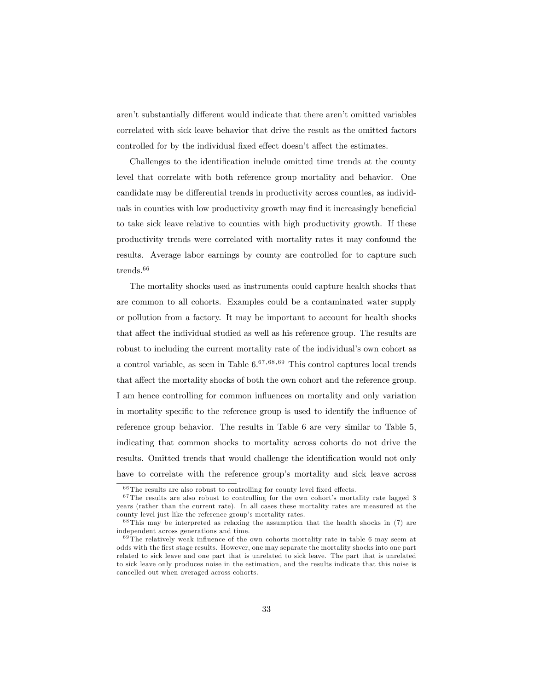aren't substantially different would indicate that there aren't omitted variables correlated with sick leave behavior that drive the result as the omitted factors controlled for by the individual fixed effect doesn't affect the estimates.

Challenges to the identification include omitted time trends at the county level that correlate with both reference group mortality and behavior. One candidate may be differential trends in productivity across counties, as individuals in counties with low productivity growth may find it increasingly beneficial to take sick leave relative to counties with high productivity growth. If these productivity trends were correlated with mortality rates it may confound the results. Average labor earnings by county are controlled for to capture such  ${\rm trends.}^{66}$ 

The mortality shocks used as instruments could capture health shocks that are common to all cohorts. Examples could be a contaminated water supply or pollution from a factory. It may be important to account for health shocks that affect the individual studied as well as his reference group. The results are robust to including the current mortality rate of the individual's own cohort as a control variable, as seen in Table  $6^{67,68,69}$  This control captures local trends that affect the mortality shocks of both the own cohort and the reference group. I am hence controlling for common influences on mortality and only variation in mortality specific to the reference group is used to identify the influence of reference group behavior. The results in Table 6 are very similar to Table 5, indicating that common shocks to mortality across cohorts do not drive the results. Omitted trends that would challenge the identification would not only have to correlate with the reference group's mortality and sick leave across

 $66$  The results are also robust to controlling for county level fixed effects.

 $^{67}\mathrm{The}$  results are also robust to controlling for the own cohort's mortality rate lagged 3 years (rather than the current rate). In all cases these mortality rates are measured at the county level just like the reference group's mortality rates.

<sup>68</sup> This may be interpreted as relaxing the assumption that the health shocks in (7) are independent across generations and time.

 $69$  The relatively weak influence of the own cohorts mortality rate in table 6 may seem at odds with the Örst stage results. However, one may separate the mortality shocks into one part related to sick leave and one part that is unrelated to sick leave. The part that is unrelated to sick leave only produces noise in the estimation, and the results indicate that this noise is cancelled out when averaged across cohorts.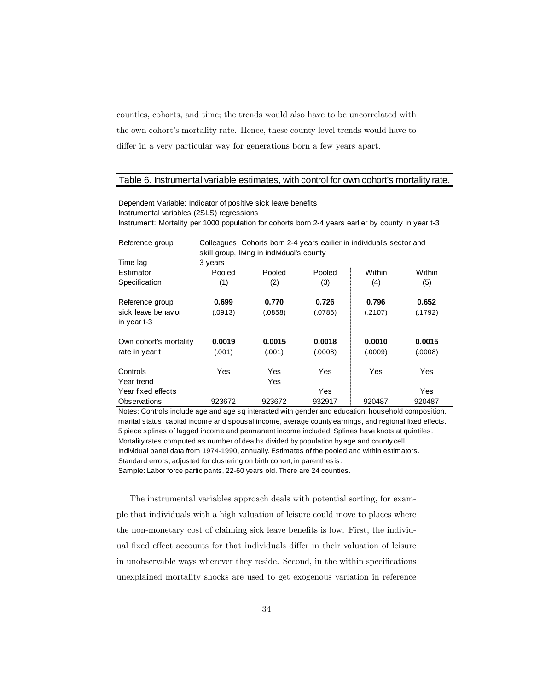counties, cohorts, and time; the trends would also have to be uncorrelated with the own cohort's mortality rate. Hence, these county level trends would have to differ in a very particular way for generations born a few years apart.

#### Table 6. Instrumental variable estimates, with control for own cohort's mortality rate.

Dependent Variable: Indicator of positive sick leave benefits Instrumental variables (2SLS) regressions Instrument: Mortality per 1000 population for cohorts born 2-4 years earlier by county in year t-3

| Reference group        | Colleagues: Cohorts born 2-4 years earlier in individual's sector and<br>skill group, living in individual's county |         |         |         |         |  |  |
|------------------------|---------------------------------------------------------------------------------------------------------------------|---------|---------|---------|---------|--|--|
| Time lag               | 3 years                                                                                                             |         |         |         |         |  |  |
| Estimator              | Pooled                                                                                                              | Pooled  | Pooled  | Within  | Within  |  |  |
| Specification          | (1)                                                                                                                 | (2)     | (3)     | (4)     | (5)     |  |  |
|                        |                                                                                                                     |         |         |         |         |  |  |
| Reference group        | 0.699                                                                                                               | 0.770   | 0.726   | 0.796   | 0.652   |  |  |
| sick leave behavior    | (.0913)                                                                                                             | (.0858) | (.0786) | (.2107) | (.1792) |  |  |
| in year t-3            |                                                                                                                     |         |         |         |         |  |  |
| Own cohort's mortality | 0.0019                                                                                                              | 0.0015  | 0.0018  | 0.0010  | 0.0015  |  |  |
| rate in year t         | (.001)                                                                                                              | (.001)  | (.0008) | (.0009) | (.0008) |  |  |
| Controls               | Yes                                                                                                                 | Yes     | Yes     | Yes     | Yes     |  |  |
| Year trend             |                                                                                                                     | Yes     |         |         |         |  |  |
| Year fixed effects     |                                                                                                                     |         | Yes     |         | Yes     |  |  |
| Observations           | 923672                                                                                                              | 923672  | 932917  | 920487  | 920487  |  |  |

Notes: Controls include age and age sq interacted with gender and education, household composition, marital status, capital income and spousal income, average county earnings, and regional fixed effects. 5 piece splines of lagged income and permanent income included. Splines have knots at quintiles. Mortality rates computed as number of deaths divided by population by age and county cell. Individual panel data from 1974-1990, annually. Estimates of the pooled and within estimators. Standard errors, adjusted for clustering on birth cohort, in parenthesis. Sample: Labor force participants, 22-60 years old. There are 24 counties.

The instrumental variables approach deals with potential sorting, for example that individuals with a high valuation of leisure could move to places where the non-monetary cost of claiming sick leave benefits is low. First, the individual fixed effect accounts for that individuals differ in their valuation of leisure in unobservable ways wherever they reside. Second, in the within specifications unexplained mortality shocks are used to get exogenous variation in reference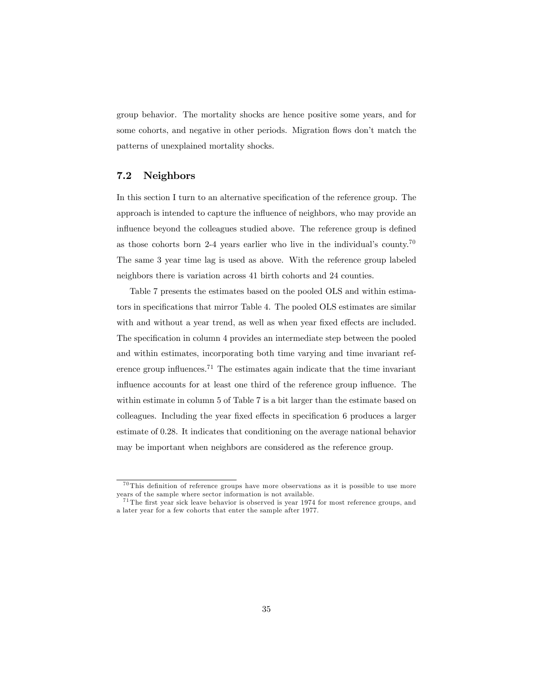group behavior. The mortality shocks are hence positive some years, and for some cohorts, and negative in other periods. Migration flows don't match the patterns of unexplained mortality shocks.

### 7.2 Neighbors

In this section I turn to an alternative specification of the reference group. The approach is intended to capture the influence of neighbors, who may provide an influence beyond the colleagues studied above. The reference group is defined as those cohorts born 2-4 years earlier who live in the individual's county.<sup>70</sup> The same 3 year time lag is used as above. With the reference group labeled neighbors there is variation across 41 birth cohorts and 24 counties.

Table 7 presents the estimates based on the pooled OLS and within estimators in specifications that mirror Table 4. The pooled OLS estimates are similar with and without a year trend, as well as when year fixed effects are included. The specification in column 4 provides an intermediate step between the pooled and within estimates, incorporating both time varying and time invariant reference group influences.<sup>71</sup> The estimates again indicate that the time invariant influence accounts for at least one third of the reference group influence. The within estimate in column 5 of Table 7 is a bit larger than the estimate based on colleagues. Including the year fixed effects in specification 6 produces a larger estimate of 0.28. It indicates that conditioning on the average national behavior may be important when neighbors are considered as the reference group.

 $70$  This definition of reference groups have more observations as it is possible to use more years of the sample where sector information is not available.

 $71$  The first year sick leave behavior is observed is year 1974 for most reference groups, and a later year for a few cohorts that enter the sample after 1977.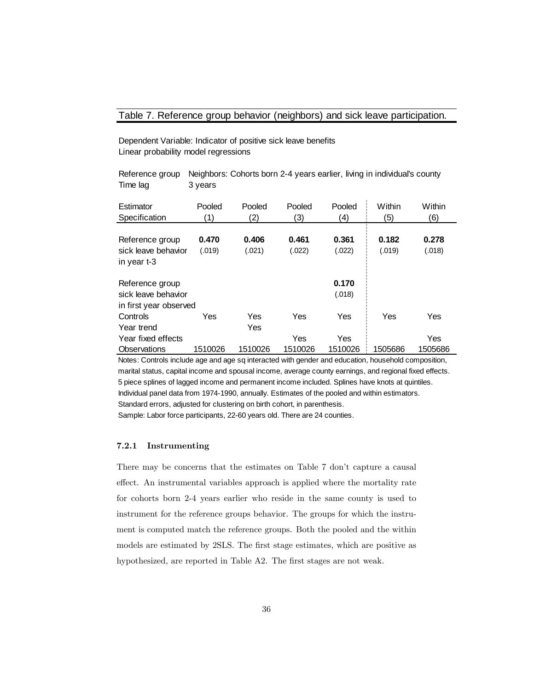### Table 7. Reference group behavior (neighbors) and sick leave participation.

Dependent Variable: Indicator of positive sick leave benefits Linear probability model regressions

Reference group Neighbors: Cohorts born 2-4 years earlier, living in individual's county Time lag 3 years

| Estimator              | Pooled  | Pooled  | Pooled  | Pooled  | Within  | Within  |
|------------------------|---------|---------|---------|---------|---------|---------|
| Specification          | (1)     | (2)     | (3)     | (4)     | (5)     | (6)     |
|                        |         |         |         |         |         |         |
| Reference group        | 0.470   | 0.406   | 0.461   | 0.361   | 0.182   | 0.278   |
| sick leave behavior    | (.019)  | (.021)  | (.022)  | (.022)  | (.019)  | (.018)  |
| in year t-3            |         |         |         |         |         |         |
| Reference group        |         |         |         | 0.170   |         |         |
| sick leave behavior    |         |         |         | (.018)  |         |         |
| in first year observed |         |         |         |         |         |         |
| Controls               | Yes     | Yes     | Yes     | Yes     | Yes     | Yes     |
| Year trend             |         | Yes     |         |         |         |         |
| Year fixed effects     |         |         | Yes     | Yes     |         | Yes     |
| Observations           | 1510026 | 1510026 | 1510026 | 1510026 | 1505686 | 1505686 |

Notes: Controls include age and age sq interacted with gender and education, household composition, marital status, capital income and spousal income, average county earnings, and regional fixed effects. 5 piece splines of lagged income and permanent income included. Splines have knots at quintiles. Individual panel data from 1974-1990, annually. Estimates of the pooled and within estimators. Standard errors, adjusted for clustering on birth cohort, in parenthesis.

Sample: Labor force participants, 22-60 years old. There are 24 counties.

#### 7.2.1 Instrumenting

There may be concerns that the estimates on Table 7 don't capture a causal effect. An instrumental variables approach is applied where the mortality rate for cohorts born 2-4 years earlier who reside in the same county is used to instrument for the reference groups behavior. The groups for which the instrument is computed match the reference groups. Both the pooled and the within models are estimated by 2SLS. The first stage estimates, which are positive as hypothesized, are reported in Table A2. The first stages are not weak.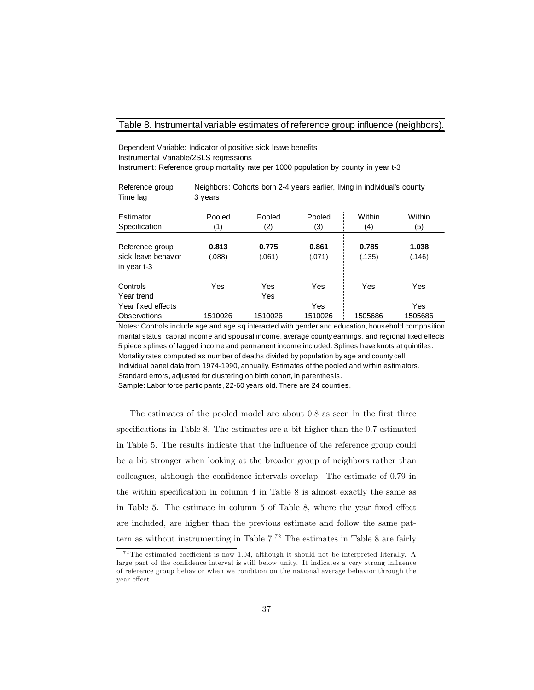#### Table 8. Instrumental variable estimates of reference group influence (neighbors).

Dependent Variable: Indicator of positive sick leave benefits Instrumental Variable/2SLS regressions Instrument: Reference group mortality rate per 1000 population by county in year t-3

| Reference group | Neighbors: Cohorts born 2-4 years earlier, living in individual's county |
|-----------------|--------------------------------------------------------------------------|
| Time lag        | 3 years                                                                  |

| Estimator           | Pooled  | Pooled  | Pooled  | Within  | Within  |
|---------------------|---------|---------|---------|---------|---------|
| Specification       | (1)     | (2)     | (3)     | (4)     | (5)     |
|                     |         |         |         |         |         |
| Reference group     | 0.813   | 0.775   | 0.861   | 0.785   | 1.038   |
| sick leave behavior | (.088)  | (.061)  | (.071)  | (.135)  | (.146)  |
| in year t-3         |         |         |         |         |         |
|                     |         |         |         |         |         |
| Controls            | Yes     | Yes     | Yes     | Yes     | Yes     |
| Year trend          |         | Yes     |         |         |         |
| Year fixed effects  |         |         | Yes     |         | Yes     |
| Observations        | 1510026 | 1510026 | 1510026 | 1505686 | 1505686 |

Notes: Controls include age and age sq interacted with gender and education, household composition, marital status, capital income and spousal income, average county earnings, and regional fixed effects 5 piece splines of lagged income and permanent income included. Splines have knots at quintiles. Mortality rates computed as number of deaths divided by population by age and county cell.

Individual panel data from 1974-1990, annually. Es tim ates of the pooled and within es tim ators .

Standard errors, adjusted for clustering on birth cohort, in parenthesis.

Sample: Labor force participants, 22-60 years old. There are 24 counties.

The estimates of the pooled model are about 0.8 as seen in the first three specifications in Table 8. The estimates are a bit higher than the 0.7 estimated in Table 5. The results indicate that the influence of the reference group could be a bit stronger when looking at the broader group of neighbors rather than colleagues, although the confidence intervals overlap. The estimate of 0.79 in the within specification in column 4 in Table 8 is almost exactly the same as in Table 5. The estimate in column  $5$  of Table 8, where the year fixed effect are included, are higher than the previous estimate and follow the same pattern as without instrumenting in Table  $7<sup>72</sup>$  The estimates in Table 8 are fairly

 $^{72}$ The estimated coefficient is now 1.04, although it should not be interpreted literally. A large part of the confidence interval is still below unity. It indicates a very strong influence of reference group behavior when we condition on the national average behavior through the year effect.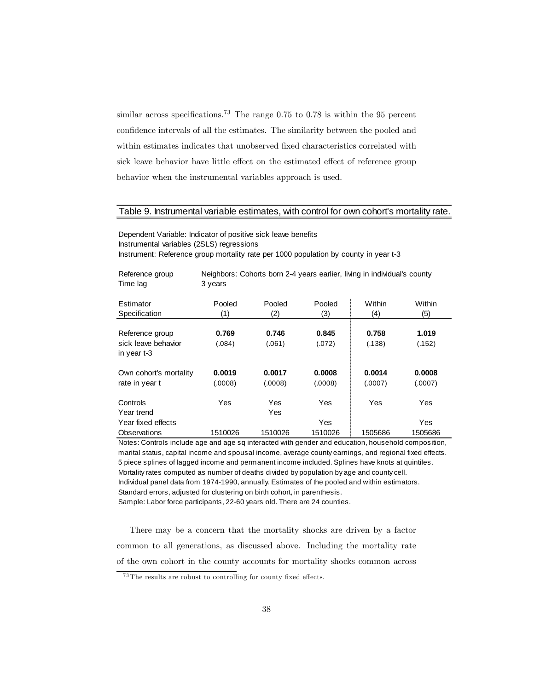similar across specifications.<sup>73</sup> The range  $0.75$  to  $0.78$  is within the 95 percent confidence intervals of all the estimates. The similarity between the pooled and within estimates indicates that unobserved fixed characteristics correlated with sick leave behavior have little effect on the estimated effect of reference group behavior when the instrumental variables approach is used.

#### Table 9. Instrumental variable estimates, with control for own cohort's mortality rate.

Dependent Variable: Indicator of positive sick leave benefits Instrumental variables (2SLS) regressions Instrument: Reference group mortality rate per 1000 population by county in year t-3

Reference group Neighbors: Cohorts born 2-4 years earlier, living in individual's county

| Time lag                                              | 3 years           |                   |                   |                   |                   |
|-------------------------------------------------------|-------------------|-------------------|-------------------|-------------------|-------------------|
| Estimator<br>Specification                            | Pooled<br>(1)     | Pooled<br>(2)     | Pooled<br>(3)     | Within<br>(4)     | Within<br>(5)     |
| Reference group<br>sick leave behavior<br>in year t-3 | 0.769<br>(.084)   | 0.746<br>(.061)   | 0.845<br>(.072)   | 0.758<br>(.138)   | 1.019<br>(.152)   |
| Own cohort's mortality<br>rate in year t              | 0.0019<br>(.0008) | 0.0017<br>(.0008) | 0.0008<br>(.0008) | 0.0014<br>(.0007) | 0.0008<br>(.0007) |
| Controls<br>Year trend                                | Yes               | Yes<br>Yes        | Yes               | Yes               | Yes               |
| Year fixed effects                                    |                   |                   | Yes               |                   | Yes               |
| Observations                                          | 1510026           | 1510026           | 1510026           | 1505686           | 1505686           |

Notes: Controls include age and age sq interacted with gender and education, household composition, marital status, capital income and spousal income, average county earnings, and regional fixed effects. 5 piece splines of lagged income and permanent income included. Splines have knots at quintiles. Mortality rates computed as number of deaths divided by population by age and county cell. Individual panel data from 1974-1990, annually. Estimates of the pooled and within estimators. Standard errors, adjusted for clustering on birth cohort, in parenthesis. Sample: Labor force participants, 22-60 years old. There are 24 counties.

There may be a concern that the mortality shocks are driven by a factor common to all generations, as discussed above. Including the mortality rate of the own cohort in the county accounts for mortality shocks common across

 $^{73}$ The results are robust to controlling for county fixed effects.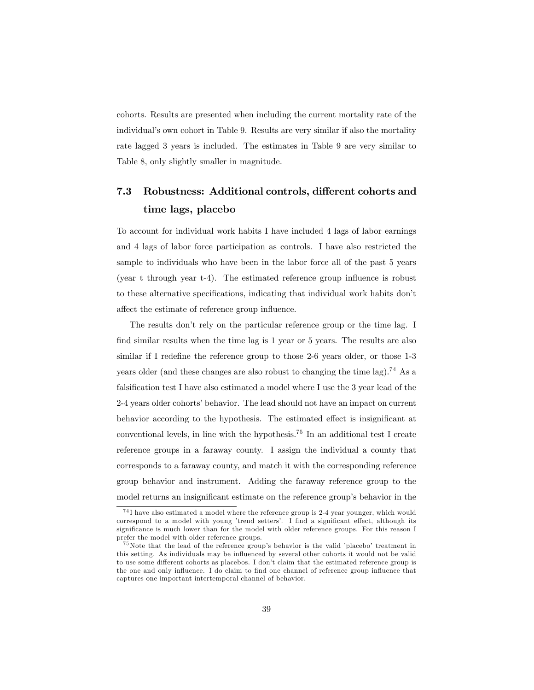cohorts. Results are presented when including the current mortality rate of the individual's own cohort in Table 9. Results are very similar if also the mortality rate lagged 3 years is included. The estimates in Table 9 are very similar to Table 8, only slightly smaller in magnitude.

# 7.3 Robustness: Additional controls, different cohorts and time lags, placebo

To account for individual work habits I have included 4 lags of labor earnings and 4 lags of labor force participation as controls. I have also restricted the sample to individuals who have been in the labor force all of the past 5 years (year t through year  $t-4$ ). The estimated reference group influence is robust to these alternative specifications, indicating that individual work habits don't affect the estimate of reference group influence.

The results don't rely on the particular reference group or the time lag. I find similar results when the time lag is 1 year or 5 years. The results are also similar if I redefine the reference group to those 2-6 years older, or those 1-3 years older (and these changes are also robust to changing the time lag).<sup>74</sup> As a falsification test I have also estimated a model where I use the 3 year lead of the 2-4 years older cohorts' behavior. The lead should not have an impact on current behavior according to the hypothesis. The estimated effect is insignificant at conventional levels, in line with the hypothesis.<sup>75</sup> In an additional test I create reference groups in a faraway county. I assign the individual a county that corresponds to a faraway county, and match it with the corresponding reference group behavior and instrument. Adding the faraway reference group to the model returns an insignificant estimate on the reference group's behavior in the

<sup>74</sup> I have also estimated a model where the reference group is 2-4 year younger, which would correspond to a model with young 'trend setters'. I find a significant effect, although its significance is much lower than for the model with older reference groups. For this reason I prefer the model with older reference groups.

 $^{75}$ Note that the lead of the reference group's behavior is the valid 'placebo' treatment in this setting. As individuals may be influenced by several other cohorts it would not be valid to use some different cohorts as placebos. I don't claim that the estimated reference group is the one and only influence. I do claim to find one channel of reference group influence that captures one important intertemporal channel of behavior.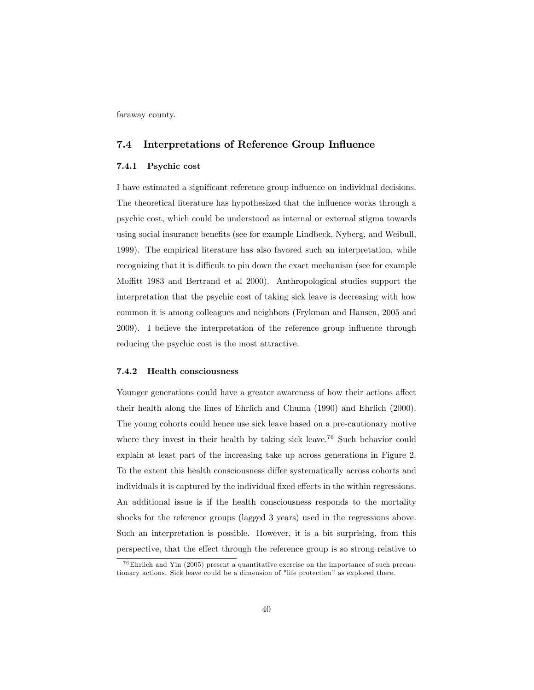faraway county.

### 7.4 Interpretations of Reference Group Influence

#### 7.4.1 Psychic cost

I have estimated a significant reference group influence on individual decisions. The theoretical literature has hypothesized that the influence works through a psychic cost, which could be understood as internal or external stigma towards using social insurance benefits (see for example Lindbeck, Nyberg, and Weibull, 1999). The empirical literature has also favored such an interpretation, while recognizing that it is difficult to pin down the exact mechanism (see for example Moffitt 1983 and Bertrand et al 2000). Anthropological studies support the interpretation that the psychic cost of taking sick leave is decreasing with how common it is among colleagues and neighbors (Frykman and Hansen, 2005 and 2009). I believe the interpretation of the reference group influence through reducing the psychic cost is the most attractive.

#### 7.4.2 Health consciousness

Younger generations could have a greater awareness of how their actions affect their health along the lines of Ehrlich and Chuma (1990) and Ehrlich (2000). The young cohorts could hence use sick leave based on a pre-cautionary motive where they invest in their health by taking sick leave.<sup>76</sup> Such behavior could explain at least part of the increasing take up across generations in Figure 2. To the extent this health consciousness differ systematically across cohorts and individuals it is captured by the individual fixed effects in the within regressions. An additional issue is if the health consciousness responds to the mortality shocks for the reference groups (lagged 3 years) used in the regressions above. Such an interpretation is possible. However, it is a bit surprising, from this perspective, that the effect through the reference group is so strong relative to

<sup>76</sup>Ehrlich and Yin (2005) present a quantitative exercise on the importance of such precautionary actions. Sick leave could be a dimension of "life protection" as explored there.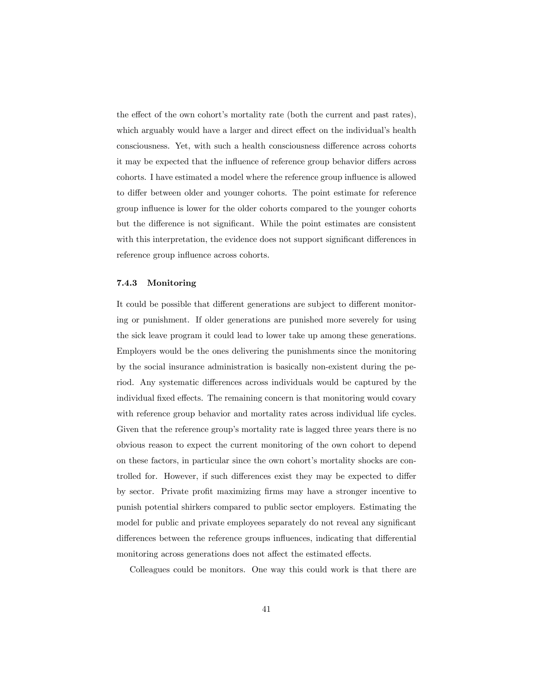the effect of the own cohort's mortality rate (both the current and past rates), which arguably would have a larger and direct effect on the individual's health consciousness. Yet, with such a health consciousness difference across cohorts it may be expected that the influence of reference group behavior differs across cohorts. I have estimated a model where the reference group influence is allowed to differ between older and younger cohorts. The point estimate for reference group influence is lower for the older cohorts compared to the younger cohorts but the difference is not significant. While the point estimates are consistent with this interpretation, the evidence does not support significant differences in reference group influence across cohorts.

#### 7.4.3 Monitoring

It could be possible that different generations are subject to different monitoring or punishment. If older generations are punished more severely for using the sick leave program it could lead to lower take up among these generations. Employers would be the ones delivering the punishments since the monitoring by the social insurance administration is basically non-existent during the period. Any systematic differences across individuals would be captured by the individual fixed effects. The remaining concern is that monitoring would covary with reference group behavior and mortality rates across individual life cycles. Given that the reference group's mortality rate is lagged three years there is no obvious reason to expect the current monitoring of the own cohort to depend on these factors, in particular since the own cohort's mortality shocks are controlled for. However, if such differences exist they may be expected to differ by sector. Private profit maximizing firms may have a stronger incentive to punish potential shirkers compared to public sector employers. Estimating the model for public and private employees separately do not reveal any significant differences between the reference groups influences, indicating that differential monitoring across generations does not affect the estimated effects.

Colleagues could be monitors. One way this could work is that there are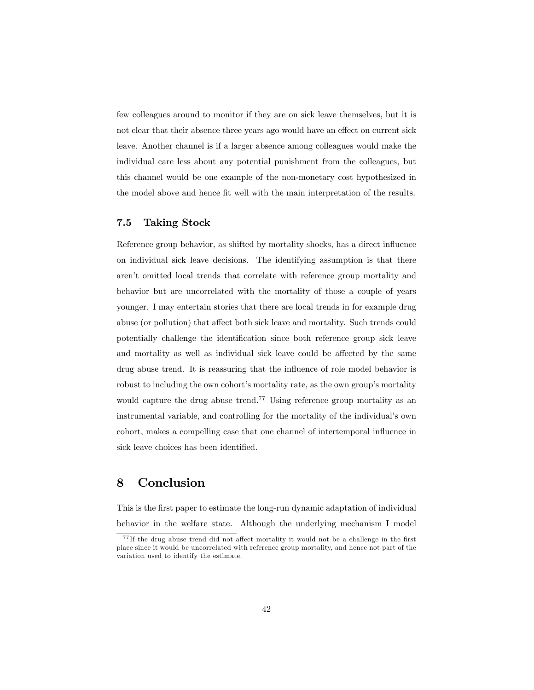few colleagues around to monitor if they are on sick leave themselves, but it is not clear that their absence three years ago would have an effect on current sick leave. Another channel is if a larger absence among colleagues would make the individual care less about any potential punishment from the colleagues, but this channel would be one example of the non-monetary cost hypothesized in the model above and hence fit well with the main interpretation of the results.

### 7.5 Taking Stock

Reference group behavior, as shifted by mortality shocks, has a direct influence on individual sick leave decisions. The identifying assumption is that there arenít omitted local trends that correlate with reference group mortality and behavior but are uncorrelated with the mortality of those a couple of years younger. I may entertain stories that there are local trends in for example drug abuse (or pollution) that affect both sick leave and mortality. Such trends could potentially challenge the identification since both reference group sick leave and mortality as well as individual sick leave could be affected by the same drug abuse trend. It is reassuring that the influence of role model behavior is robust to including the own cohort's mortality rate, as the own group's mortality would capture the drug abuse trend.<sup>77</sup> Using reference group mortality as an instrumental variable, and controlling for the mortality of the individual's own cohort, makes a compelling case that one channel of intertemporal influence in sick leave choices has been identified.

# 8 Conclusion

This is the first paper to estimate the long-run dynamic adaptation of individual behavior in the welfare state. Although the underlying mechanism I model

 $^{77}$  If the drug abuse trend did not affect mortality it would not be a challenge in the first place since it would be uncorrelated with reference group mortality, and hence not part of the variation used to identify the estimate.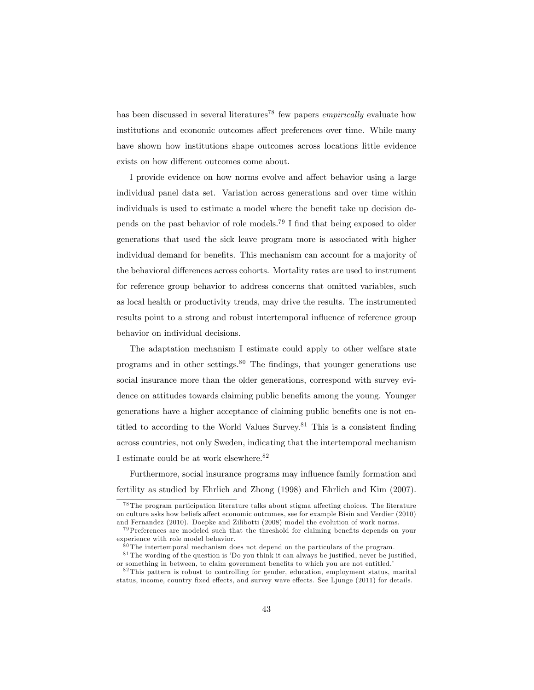has been discussed in several literatures<sup>78</sup> few papers *empirically* evaluate how institutions and economic outcomes affect preferences over time. While many have shown how institutions shape outcomes across locations little evidence exists on how different outcomes come about.

I provide evidence on how norms evolve and affect behavior using a large individual panel data set. Variation across generations and over time within individuals is used to estimate a model where the benefit take up decision depends on the past behavior of role models.<sup>79</sup> I find that being exposed to older generations that used the sick leave program more is associated with higher individual demand for benefits. This mechanism can account for a majority of the behavioral differences across cohorts. Mortality rates are used to instrument for reference group behavior to address concerns that omitted variables, such as local health or productivity trends, may drive the results. The instrumented results point to a strong and robust intertemporal influence of reference group behavior on individual decisions.

The adaptation mechanism I estimate could apply to other welfare state programs and in other settings. $80$  The findings, that younger generations use social insurance more than the older generations, correspond with survey evidence on attitudes towards claiming public benefits among the young. Younger generations have a higher acceptance of claiming public benefits one is not entitled to according to the World Values Survey.<sup>81</sup> This is a consistent finding across countries, not only Sweden, indicating that the intertemporal mechanism I estimate could be at work elsewhere.<sup>82</sup>

Furthermore, social insurance programs may influence family formation and fertility as studied by Ehrlich and Zhong (1998) and Ehrlich and Kim (2007).

 $78$  The program participation literature talks about stigma affecting choices. The literature on culture asks how beliefs affect economic outcomes, see for example Bisin and Verdier (2010) and Fernandez (2010). Doepke and Zilibotti (2008) model the evolution of work norms.

 $^{79}$ Preferences are modeled such that the threshold for claiming benefits depends on your experience with role model behavior.

 $80$  The intertemporal mechanism does not depend on the particulars of the program.

 $81$  The wording of the question is 'Do you think it can always be justified, never be justified. or something in between, to claim government benefits to which you are not entitled.

<sup>82</sup> This pattern is robust to controlling for gender, education, employment status, marital status, income, country fixed effects, and survey wave effects. See Ljunge  $(2011)$  for details.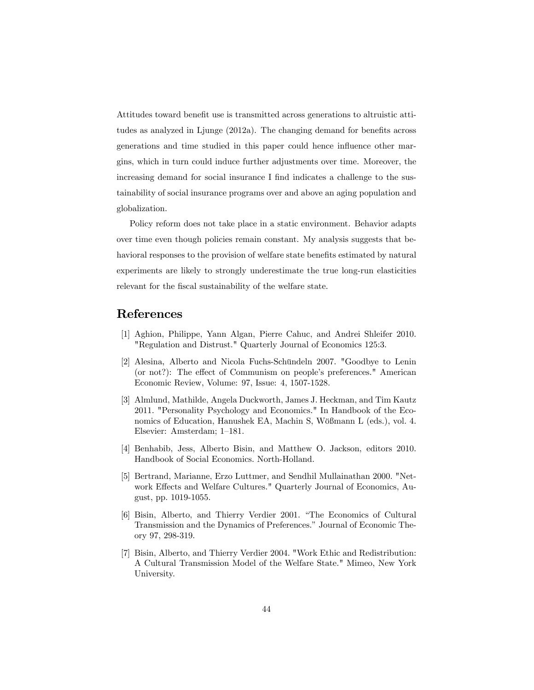Attitudes toward benefit use is transmitted across generations to altruistic attitudes as analyzed in Ljunge  $(2012a)$ . The changing demand for benefits across generations and time studied in this paper could hence influence other margins, which in turn could induce further adjustments over time. Moreover, the increasing demand for social insurance I find indicates a challenge to the sustainability of social insurance programs over and above an aging population and globalization.

Policy reform does not take place in a static environment. Behavior adapts over time even though policies remain constant. My analysis suggests that behavioral responses to the provision of welfare state benefits estimated by natural experiments are likely to strongly underestimate the true long-run elasticities relevant for the fiscal sustainability of the welfare state.

# References

- [1] Aghion, Philippe, Yann Algan, Pierre Cahuc, and Andrei Shleifer 2010. "Regulation and Distrust." Quarterly Journal of Economics 125:3.
- [2] Alesina, Alberto and Nicola Fuchs-Schündeln 2007. "Goodbye to Lenin (or not?): The effect of Communism on people's preferences." American Economic Review, Volume: 97, Issue: 4, 1507-1528.
- [3] Almlund, Mathilde, Angela Duckworth, James J. Heckman, and Tim Kautz 2011. "Personality Psychology and Economics." In Handbook of the Economics of Education, Hanushek EA, Machin S, Wößmann L (eds.), vol. 4. Elsevier: Amsterdam; 1–181.
- [4] Benhabib, Jess, Alberto Bisin, and Matthew O. Jackson, editors 2010. Handbook of Social Economics. North-Holland.
- [5] Bertrand, Marianne, Erzo Luttmer, and Sendhil Mullainathan 2000. "Network Effects and Welfare Cultures." Quarterly Journal of Economics, August, pp. 1019-1055.
- [6] Bisin, Alberto, and Thierry Verdier 2001. "The Economics of Cultural Transmission and the Dynamics of Preferences." Journal of Economic Theory 97, 298-319.
- [7] Bisin, Alberto, and Thierry Verdier 2004. "Work Ethic and Redistribution: A Cultural Transmission Model of the Welfare State." Mimeo, New York University.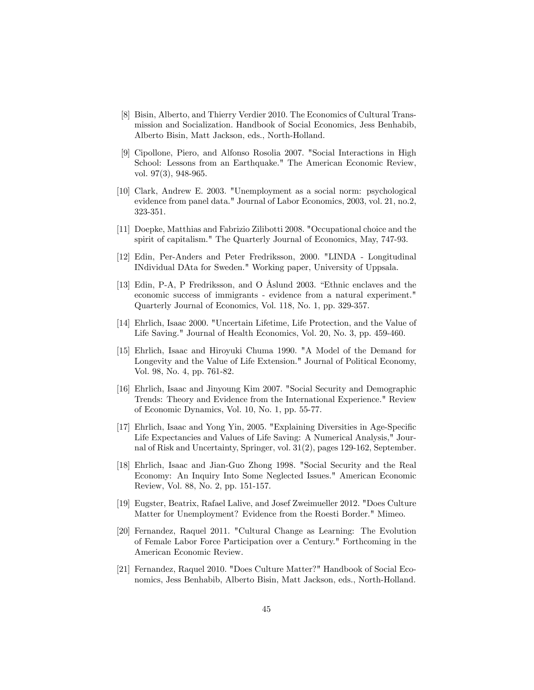- [8] Bisin, Alberto, and Thierry Verdier 2010. The Economics of Cultural Transmission and Socialization. Handbook of Social Economics, Jess Benhabib, Alberto Bisin, Matt Jackson, eds., North-Holland.
- [9] Cipollone, Piero, and Alfonso Rosolia 2007. "Social Interactions in High School: Lessons from an Earthquake." The American Economic Review, vol. 97(3), 948-965.
- [10] Clark, Andrew E. 2003. "Unemployment as a social norm: psychological evidence from panel data." Journal of Labor Economics, 2003, vol. 21, no.2, 323-351.
- [11] Doepke, Matthias and Fabrizio Zilibotti 2008. "Occupational choice and the spirit of capitalism." The Quarterly Journal of Economics, May, 747-93.
- [12] Edin, Per-Anders and Peter Fredriksson, 2000. "LINDA Longitudinal INdividual DAta for Sweden." Working paper, University of Uppsala.
- [13] Edin, P-A, P Fredriksson, and O Åslund 2003. "Ethnic enclaves and the economic success of immigrants - evidence from a natural experiment." Quarterly Journal of Economics, Vol. 118, No. 1, pp. 329-357.
- [14] Ehrlich, Isaac 2000. "Uncertain Lifetime, Life Protection, and the Value of Life Saving." Journal of Health Economics, Vol. 20, No. 3, pp. 459-460.
- [15] Ehrlich, Isaac and Hiroyuki Chuma 1990. "A Model of the Demand for Longevity and the Value of Life Extension." Journal of Political Economy, Vol. 98, No. 4, pp. 761-82.
- [16] Ehrlich, Isaac and Jinyoung Kim 2007. "Social Security and Demographic Trends: Theory and Evidence from the International Experience." Review of Economic Dynamics, Vol. 10, No. 1, pp. 55-77.
- [17] Ehrlich, Isaac and Yong Yin, 2005. "Explaining Diversities in Age-Specific Life Expectancies and Values of Life Saving: A Numerical Analysis," Journal of Risk and Uncertainty, Springer, vol. 31(2), pages 129-162, September.
- [18] Ehrlich, Isaac and Jian-Guo Zhong 1998. "Social Security and the Real Economy: An Inquiry Into Some Neglected Issues." American Economic Review, Vol. 88, No. 2, pp. 151-157.
- [19] Eugster, Beatrix, Rafael Lalive, and Josef Zweimueller 2012. "Does Culture Matter for Unemployment? Evidence from the Roesti Border." Mimeo.
- [20] Fernandez, Raquel 2011. "Cultural Change as Learning: The Evolution of Female Labor Force Participation over a Century." Forthcoming in the American Economic Review.
- [21] Fernandez, Raquel 2010. "Does Culture Matter?" Handbook of Social Economics, Jess Benhabib, Alberto Bisin, Matt Jackson, eds., North-Holland.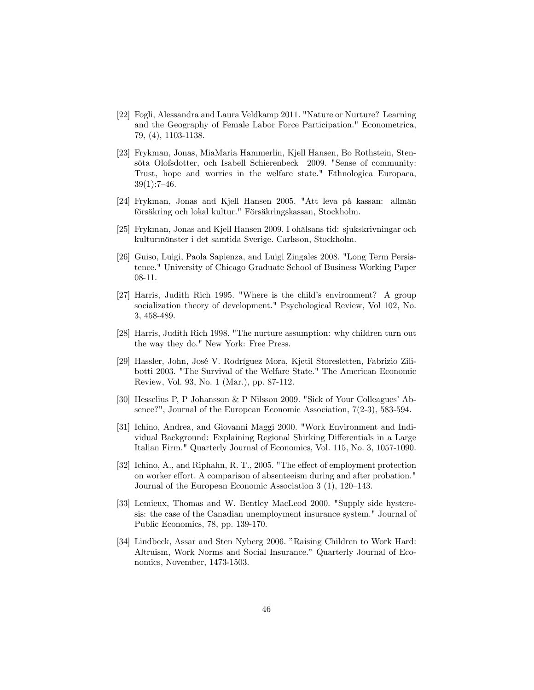- [22] Fogli, Alessandra and Laura Veldkamp 2011. "Nature or Nurture? Learning and the Geography of Female Labor Force Participation." Econometrica, 79, (4), 1103-1138.
- [23] Frykman, Jonas, MiaMaria Hammerlin, Kjell Hansen, Bo Rothstein, Stensöta Olofsdotter, och Isabell Schierenbeck 2009. "Sense of community: Trust, hope and worries in the welfare state." Ethnologica Europaea,  $39(1):7-46.$
- [24] Frykman, Jonas and Kjell Hansen 2005. "Att leva på kassan: allmän försäkring och lokal kultur." Försäkringskassan, Stockholm.
- [25] Frykman, Jonas and Kjell Hansen 2009. I ohälsans tid: sjukskrivningar och kulturmˆnster i det samtida Sverige. Carlsson, Stockholm.
- [26] Guiso, Luigi, Paola Sapienza, and Luigi Zingales 2008. "Long Term Persistence." University of Chicago Graduate School of Business Working Paper 08-11.
- [27] Harris, Judith Rich 1995. "Where is the child's environment? A group socialization theory of development." Psychological Review, Vol 102, No. 3, 458-489.
- [28] Harris, Judith Rich 1998. "The nurture assumption: why children turn out the way they do." New York: Free Press.
- [29] Hassler, John, José V. Rodríguez Mora, Kjetil Storesletten, Fabrizio Zilibotti 2003. "The Survival of the Welfare State." The American Economic Review, Vol. 93, No. 1 (Mar.), pp. 87-112.
- [30] Hesselius P, P Johansson & P Nilsson 2009. "Sick of Your Colleagues' Absence?", Journal of the European Economic Association, 7(2-3), 583-594.
- [31] Ichino, Andrea, and Giovanni Maggi 2000. "Work Environment and Individual Background: Explaining Regional Shirking Differentials in a Large Italian Firm." Quarterly Journal of Economics, Vol. 115, No. 3, 1057-1090.
- [32] Ichino, A., and Riphahn, R. T., 2005. "The effect of employment protection on worker effort. A comparison of absenteeism during and after probation." Journal of the European Economic Association  $3(1)$ ,  $120-143$ .
- [33] Lemieux, Thomas and W. Bentley MacLeod 2000. "Supply side hysteresis: the case of the Canadian unemployment insurance system." Journal of Public Economics, 78, pp. 139-170.
- [34] Lindbeck, Assar and Sten Nyberg 2006. "Raising Children to Work Hard: Altruism, Work Norms and Social Insurance." Quarterly Journal of Economics, November, 1473-1503.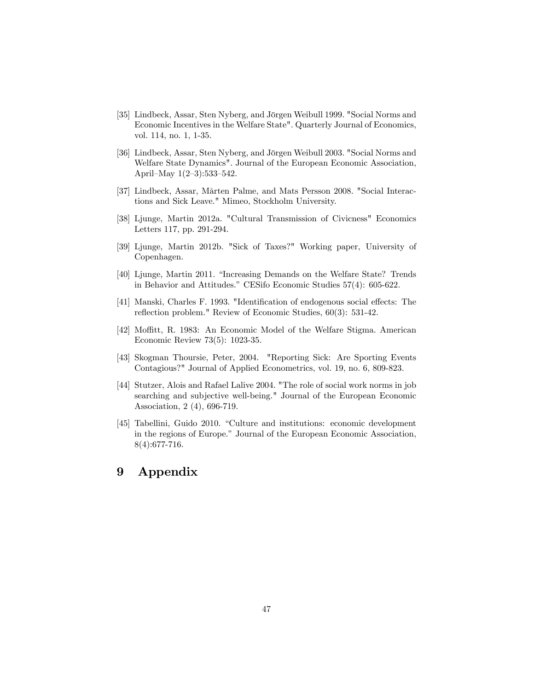- [35] Lindbeck, Assar, Sten Nyberg, and Jörgen Weibull 1999. "Social Norms and Economic Incentives in the Welfare State". Quarterly Journal of Economics, vol. 114, no. 1, 1-35.
- [36] Lindbeck, Assar, Sten Nyberg, and Jörgen Weibull 2003. "Social Norms and Welfare State Dynamics". Journal of the European Economic Association, April–May  $1(2-3):533-542$ .
- [37] Lindbeck, Assar, MÂrten Palme, and Mats Persson 2008. "Social Interactions and Sick Leave." Mimeo, Stockholm University.
- [38] Ljunge, Martin 2012a. "Cultural Transmission of Civicness" Economics Letters 117, pp. 291-294.
- [39] Ljunge, Martin 2012b. "Sick of Taxes?" Working paper, University of Copenhagen.
- [40] Ljunge, Martin 2011. "Increasing Demands on the Welfare State? Trends in Behavior and Attitudes." CESifo Economic Studies  $57(4)$ : 605-622.
- [41] Manski, Charles F. 1993. "Identification of endogenous social effects: The reflection problem." Review of Economic Studies,  $60(3)$ : 531-42.
- [42] Moffitt, R. 1983: An Economic Model of the Welfare Stigma. American Economic Review 73(5): 1023-35.
- [43] Skogman Thoursie, Peter, 2004. "Reporting Sick: Are Sporting Events Contagious?" Journal of Applied Econometrics, vol. 19, no. 6, 809-823.
- [44] Stutzer, Alois and Rafael Lalive 2004. "The role of social work norms in job searching and subjective well-being." Journal of the European Economic Association, 2 (4), 696-719.
- [45] Tabellini, Guido 2010. "Culture and institutions: economic development in the regions of Europe." Journal of the European Economic Association, 8(4):677-716.

# 9 Appendix